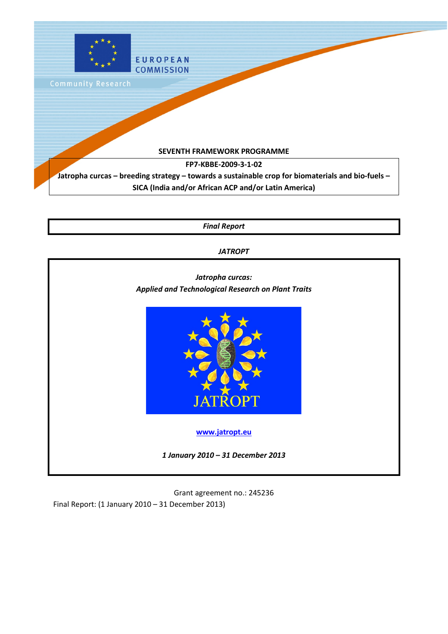

*Final Report*

*JATROPT*



Grant agreement no.: 245236 Final Report: (1 January 2010 – 31 December 2013)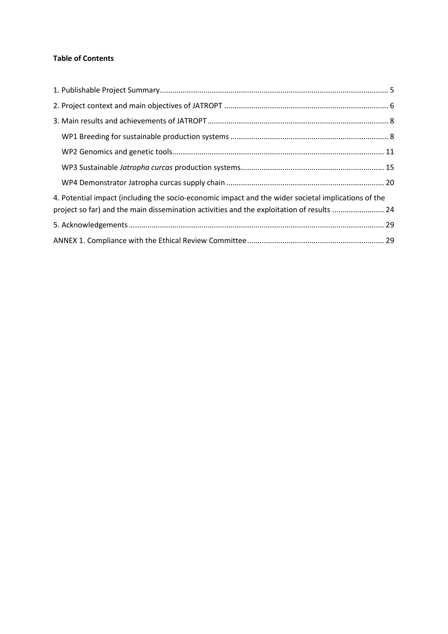# **Table of Contents**

| 4. Potential impact (including the socio-economic impact and the wider societal implications of the<br>project so far) and the main dissemination activities and the exploitation of results  24 |  |
|--------------------------------------------------------------------------------------------------------------------------------------------------------------------------------------------------|--|
|                                                                                                                                                                                                  |  |
|                                                                                                                                                                                                  |  |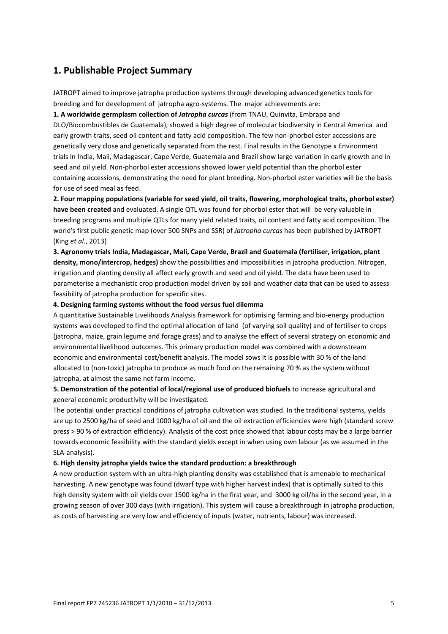# <span id="page-4-0"></span>**1. Publishable Project Summary**

JATROPT aimed to improve jatropha production systems through developing advanced genetics tools for breeding and for development of jatropha agro-systems. The major achievements are:

**1. A worldwide germplasm collection of** *Jatropha curcas* (from TNAU, Quinvita, Embrapa and DLO/Biocombustibles de Guatemala), showed a high degree of molecular biodiversity in Central America and early growth traits, seed oil content and fatty acid composition. The few non-phorbol ester accessions are genetically very close and genetically separated from the rest. Final results in the Genotype x Environment trials in India, Mali, Madagascar, Cape Verde, Guatemala and Brazil show large variation in early growth and in seed and oil yield. Non-phorbol ester accessions showed lower yield potential than the phorbol ester containing accessions, demonstrating the need for plant breeding. Non-phorbol ester varieties will be the basis for use of seed meal as feed.

**2. Four mapping populations (variable for seed yield, oil traits, flowering, morphological traits, phorbol ester) have been created** and evaluated. A single QTL was found for phorbol ester that will be very valuable in breeding programs and multiple QTLs for many yield related traits, oil content and fatty acid composition. The world's first public genetic map (over 500 SNPs and SSR) of *Jatropha curcas* has been published by JATROPT (King *et al.*, 2013)

**3. Agronomy trials India, Madagascar, Mali, Cape Verde, Brazil and Guatemala (fertiliser, irrigation, plant density, mono/intercrop, hedges)** show the possibilities and impossibilities in jatropha production. Nitrogen, irrigation and planting density all affect early growth and seed and oil yield. The data have been used to parameterise a mechanistic crop production model driven by soil and weather data that can be used to assess feasibility of jatropha production for specific sites.

#### **4. Designing farming systems without the food versus fuel dilemma**

A quantitative Sustainable Livelihoods Analysis framework for optimising farming and bio-energy production systems was developed to find the optimal allocation of land (of varying soil quality) and of fertiliser to crops (jatropha, maize, grain legume and forage grass) and to analyse the effect of several strategy on economic and environmental livelihood outcomes. This primary production model was combined with a downstream economic and environmental cost/benefit analysis. The model sows it is possible with 30 % of the land allocated to (non-toxic) jatropha to produce as much food on the remaining 70 % as the system without jatropha, at almost the same net farm income.

**5. Demonstration of the potential of local/regional use of produced biofuels** to increase agricultural and general economic productivity will be investigated.

The potential under practical conditions of jatropha cultivation was studied. In the traditional systems, yields are up to 2500 kg/ha of seed and 1000 kg/ha of oil and the oil extraction efficiencies were high (standard screw press > 90 % of extraction efficiency). Analysis of the cost price showed that labour costs may be a large barrier towards economic feasibility with the standard yields except in when using own labour (as we assumed in the SLA-analysis).

#### **6. High density jatropha yields twice the standard production: a breakthrough**

A new production system with an ultra-high planting density was established that is amenable to mechanical harvesting. A new genotype was found (dwarf type with higher harvest index) that is optimally suited to this high density system with oil yields over 1500 kg/ha in the first year, and 3000 kg oil/ha in the second year, in a growing season of over 300 days (with irrigation). This system will cause a breakthrough in jatropha production, as costs of harvesting are very low and efficiency of inputs (water, nutrients, labour) was increased.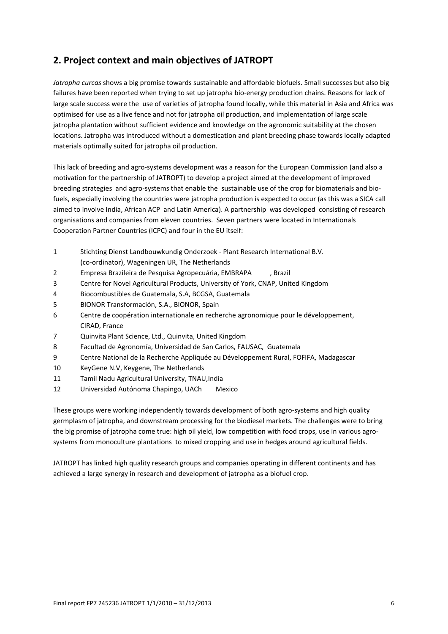# <span id="page-5-0"></span>**2. Project context and main objectives of JATROPT**

*Jatropha curcas* shows a big promise towards sustainable and affordable biofuels. Small successes but also big failures have been reported when trying to set up jatropha bio-energy production chains. Reasons for lack of large scale success were the use of varieties of jatropha found locally, while this material in Asia and Africa was optimised for use as a live fence and not for jatropha oil production, and implementation of large scale jatropha plantation without sufficient evidence and knowledge on the agronomic suitability at the chosen locations. Jatropha was introduced without a domestication and plant breeding phase towards locally adapted materials optimally suited for jatropha oil production.

This lack of breeding and agro-systems development was a reason for the European Commission (and also a motivation for the partnership of JATROPT) to develop a project aimed at the development of improved breeding strategies and agro-systems that enable the sustainable use of the crop for biomaterials and biofuels, especially involving the countries were jatropha production is expected to occur (as this was a SICA call aimed to involve India, African ACP and Latin America). A partnership was developed consisting of research organisations and companies from eleven countries. Seven partners were located in Internationals Cooperation Partner Countries (ICPC) and four in the EU itself:

- 1 Stichting Dienst Landbouwkundig Onderzoek Plant Research International B.V. (co-ordinator), Wageningen UR, The Netherlands
- 2 Empresa Brazileira de Pesquisa Agropecuária, EMBRAPA , Brazil
- 3 Centre for Novel Agricultural Products, University of York, CNAP, United Kingdom
- 4 Biocombustibles de Guatemala, S.A, BCGSA, Guatemala
- 5 BIONOR Transformación, S.A., BIONOR, Spain
- 6 Centre de coopération internationale en recherche agronomique pour le développement, CIRAD, France
- 7 Quinvita Plant Science, Ltd., Quinvita, United Kingdom
- 8 Facultad de Agronomía, Universidad de San Carlos, FAUSAC, Guatemala
- 9 Centre National de la Recherche Appliquée au Développement Rural, FOFIFA, Madagascar
- 10 KeyGene N.V, Keygene, The Netherlands
- 11 Tamil Nadu Agricultural University, TNAU,India
- 12 Universidad Autónoma Chapingo, UACh Mexico

These groups were working independently towards development of both agro-systems and high quality germplasm of jatropha, and downstream processing for the biodiesel markets. The challenges were to bring the big promise of jatropha come true: high oil yield, low competition with food crops, use in various agrosystems from monoculture plantations to mixed cropping and use in hedges around agricultural fields.

JATROPT has linked high quality research groups and companies operating in different continents and has achieved a large synergy in research and development of jatropha as a biofuel crop.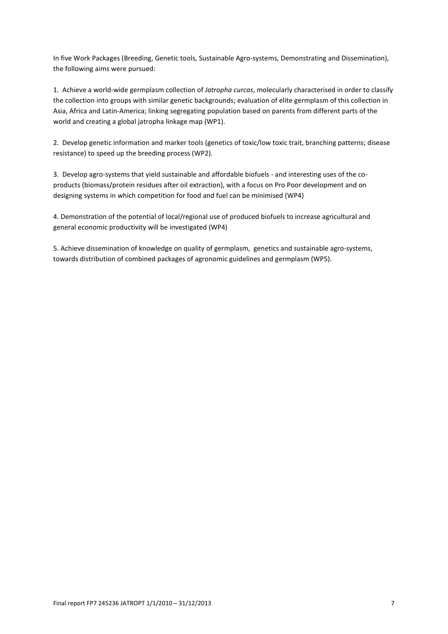In five Work Packages (Breeding, Genetic tools, Sustainable Agro-systems, Demonstrating and Dissemination), the following aims were pursued:

1. Achieve a world-wide germplasm collection of *Jatropha curcas*, molecularly characterised in order to classify the collection into groups with similar genetic backgrounds; evaluation of elite germplasm of this collection in Asia, Africa and Latin-America; linking segregating population based on parents from different parts of the world and creating a global jatropha linkage map (WP1).

2. Develop genetic information and marker tools (genetics of toxic/low toxic trait, branching patterns; disease resistance) to speed up the breeding process (WP2).

3. Develop agro-systems that yield sustainable and affordable biofuels - and interesting uses of the coproducts (biomass/protein residues after oil extraction), with a focus on Pro Poor development and on designing systems in which competition for food and fuel can be minimised (WP4)

4. Demonstration of the potential of local/regional use of produced biofuels to increase agricultural and general economic productivity will be investigated (WP4)

5. Achieve dissemination of knowledge on quality of germplasm, genetics and sustainable agro-systems, towards distribution of combined packages of agronomic guidelines and germplasm (WP5).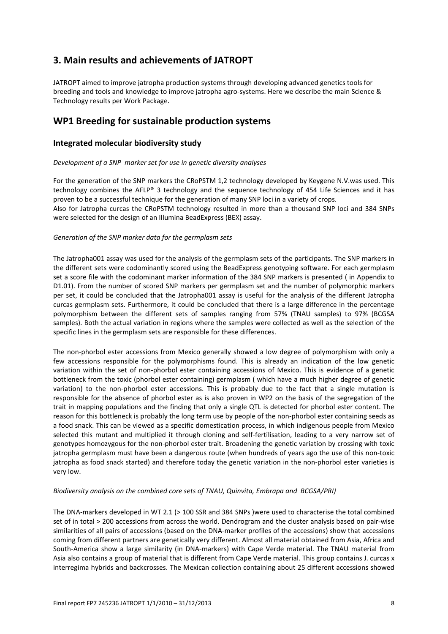# <span id="page-7-0"></span>**3. Main results and achievements of JATROPT**

JATROPT aimed to improve jatropha production systems through developing advanced genetics tools for breeding and tools and knowledge to improve jatropha agro-systems. Here we describe the main Science & Technology results per Work Package.

# <span id="page-7-1"></span>**WP1 Breeding for sustainable production systems**

# **Integrated molecular biodiversity study**

#### *Development of a SNP marker set for use in genetic diversity analyses*

For the generation of the SNP markers the CRoPSTM 1,2 technology developed by Keygene N.V.was used. This technology combines the AFLP® 3 technology and the sequence technology of 454 Life Sciences and it has proven to be a successful technique for the generation of many SNP loci in a variety of crops. Also for Jatropha curcas the CRoPSTM technology resulted in more than a thousand SNP loci and 384 SNPs were selected for the design of an Illumina BeadExpress (BEX) assay.

#### *Generation of the SNP marker data for the germplasm sets*

The Jatropha001 assay was used for the analysis of the germplasm sets of the participants. The SNP markers in the different sets were codominantly scored using the BeadExpress genotyping software. For each germplasm set a score file with the codominant marker information of the 384 SNP markers is presented ( in Appendix to D1.01). From the number of scored SNP markers per germplasm set and the number of polymorphic markers per set, it could be concluded that the Jatropha001 assay is useful for the analysis of the different Jatropha curcas germplasm sets. Furthermore, it could be concluded that there is a large difference in the percentage polymorphism between the different sets of samples ranging from 57% (TNAU samples) to 97% (BCGSA samples). Both the actual variation in regions where the samples were collected as well as the selection of the specific lines in the germplasm sets are responsible for these differences.

The non-phorbol ester accessions from Mexico generally showed a low degree of polymorphism with only a few accessions responsible for the polymorphisms found. This is already an indication of the low genetic variation within the set of non-phorbol ester containing accessions of Mexico. This is evidence of a genetic bottleneck from the toxic (phorbol ester containing) germplasm ( which have a much higher degree of genetic variation) to the non-phorbol ester accessions. This is probably due to the fact that a single mutation is responsible for the absence of phorbol ester as is also proven in WP2 on the basis of the segregation of the trait in mapping populations and the finding that only a single QTL is detected for phorbol ester content. The reason for this bottleneck is probably the long term use by people of the non-phorbol ester containing seeds as a food snack. This can be viewed as a specific domestication process, in which indigenous people from Mexico selected this mutant and multiplied it through cloning and self-fertilisation, leading to a very narrow set of genotypes homozygous for the non-phorbol ester trait. Broadening the genetic variation by crossing with toxic jatropha germplasm must have been a dangerous route (when hundreds of years ago the use of this non-toxic jatropha as food snack started) and therefore today the genetic variation in the non-phorbol ester varieties is very low.

#### *Biodiversity analysis on the combined core sets of TNAU, Quinvita, Embrapa and BCGSA/PRI)*

The DNA-markers developed in WT 2.1 (> 100 SSR and 384 SNPs )were used to characterise the total combined set of in total > 200 accessions from across the world. Dendrogram and the cluster analysis based on pair-wise similarities of all pairs of accessions (based on the DNA-marker profiles of the accessions) show that accessions coming from different partners are genetically very different. Almost all material obtained from Asia, Africa and South-America show a large similarity (in DNA-markers) with Cape Verde material. The TNAU material from Asia also contains a group of material that is different from Cape Verde material. This group contains J. curcas x interregima hybrids and backcrosses. The Mexican collection containing about 25 different accessions showed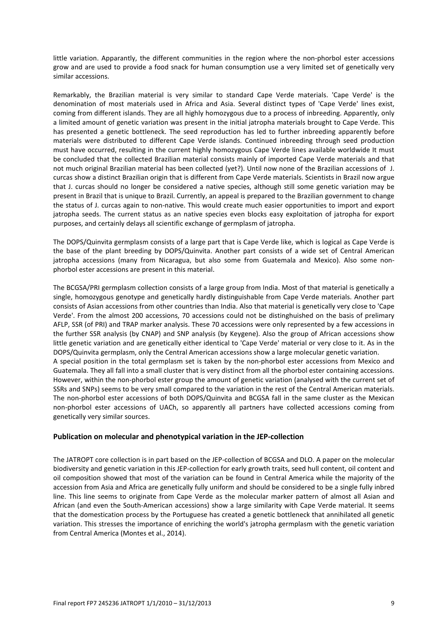little variation. Apparantly, the different communities in the region where the non-phorbol ester accessions grow and are used to provide a food snack for human consumption use a very limited set of genetically very similar accessions.

Remarkably, the Brazilian material is very similar to standard Cape Verde materials. 'Cape Verde' is the denomination of most materials used in Africa and Asia. Several distinct types of 'Cape Verde' lines exist, coming from different islands. They are all highly homozygous due to a process of inbreeding. Apparently, only a limited amount of genetic variation was present in the initial jatropha materials brought to Cape Verde. This has presented a genetic bottleneck. The seed reproduction has led to further inbreeding apparently before materials were distributed to different Cape Verde islands. Continued inbreeding through seed production must have occurred, resulting in the current highly homozygous Cape Verde lines available worldwide It must be concluded that the collected Brazilian material consists mainly of imported Cape Verde materials and that not much original Brazilian material has been collected (yet?). Until now none of the Brazilian accessions of J. curcas show a distinct Brazilian origin that is different from Cape Verde materials. Scientists in Brazil now argue that J. curcas should no longer be considered a native species, although still some genetic variation may be present in Brazil that is unique to Brazil. Currently, an appeal is prepared to the Brazilian government to change the status of J. curcas again to non-native. This would create much easier opportunities to import and export jatropha seeds. The current status as an native species even blocks easy exploitation of jatropha for export purposes, and certainly delays all scientific exchange of germplasm of jatropha.

The DOPS/Quinvita germplasm consists of a large part that is Cape Verde like, which is logical as Cape Verde is the base of the plant breeding by DOPS/Quinvita. Another part consists of a wide set of Central American jatropha accessions (many from Nicaragua, but also some from Guatemala and Mexico). Also some nonphorbol ester accessions are present in this material.

The BCGSA/PRI germplasm collection consists of a large group from India. Most of that material is genetically a single, homozygous genotype and genetically hardly distinguishable from Cape Verde materials. Another part consists of Asian accessions from other countries than India. Also that material is genetically very close to 'Cape Verde'. From the almost 200 accessions, 70 accessions could not be distinghuished on the basis of prelimary AFLP, SSR (of PRI) and TRAP marker analysis. These 70 accessions were only represented by a few accessions in the further SSR analysis (by CNAP) and SNP analysis (by Keygene). Also the group of African accessions show little genetic variation and are genetically either identical to 'Cape Verde' material or very close to it. As in the DOPS/Quinvita germplasm, only the Central American accessions show a large molecular genetic variation. A special position in the total germplasm set is taken by the non-phorbol ester accessions from Mexico and Guatemala. They all fall into a small cluster that is very distinct from all the phorbol ester containing accessions. However, within the non-phorbol ester group the amount of genetic variation (analysed with the current set of SSRs and SNPs) seems to be very small compared to the variation in the rest of the Central American materials. The non-phorbol ester accessions of both DOPS/Quinvita and BCGSA fall in the same cluster as the Mexican non-phorbol ester accessions of UACh, so apparently all partners have collected accessions coming from genetically very similar sources.

# **Publication on molecular and phenotypical variation in the JEP-collection**

The JATROPT core collection is in part based on the JEP-collection of BCGSA and DLO. A paper on the molecular biodiversity and genetic variation in this JEP-collection for early growth traits, seed hull content, oil content and oil composition showed that most of the variation can be found in Central America while the majority of the accession from Asia and Africa are genetically fully uniform and should be considered to be a single fully inbred line. This line seems to originate from Cape Verde as the molecular marker pattern of almost all Asian and African (and even the South-American accessions) show a large similarity with Cape Verde material. It seems that the domestication process by the Portuguese has created a genetic bottleneck that annihilated all genetic variation. This stresses the importance of enriching the world's jatropha germplasm with the genetic variation from Central America (Montes et al., 2014).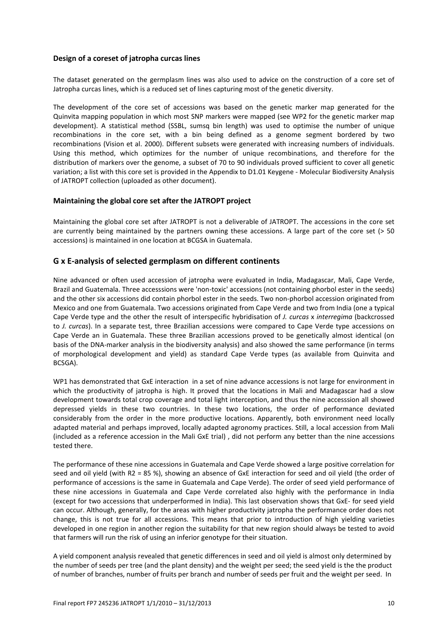### **Design of a coreset of jatropha curcas lines**

The dataset generated on the germplasm lines was also used to advice on the construction of a core set of Jatropha curcas lines, which is a reduced set of lines capturing most of the genetic diversity.

The development of the core set of accessions was based on the genetic marker map generated for the Quinvita mapping population in which most SNP markers were mapped (see WP2 for the genetic marker map development). A statistical method (SSBL, sumsq bin length) was used to optimise the number of unique recombinations in the core set, with a bin being defined as a genome segment bordered by two recombinations (Vision et al. 2000). Different subsets were generated with increasing numbers of individuals. Using this method, which optimizes for the number of unique recombinations, and therefore for the distribution of markers over the genome, a subset of 70 to 90 individuals proved sufficient to cover all genetic variation; a list with this core set is provided in the Appendix to D1.01 Keygene - Molecular Biodiversity Analysis of JATROPT collection (uploaded as other document).

#### **Maintaining the global core set after the JATROPT project**

Maintaining the global core set after JATROPT is not a deliverable of JATROPT. The accessions in the core set are currently being maintained by the partners owning these accessions. A large part of the core set (> 50 accessions) is maintained in one location at BCGSA in Guatemala.

# **G x E-analysis of selected germplasm on different continents**

Nine advanced or often used accession of jatropha were evaluated in India, Madagascar, Mali, Cape Verde, Brazil and Guatemala. Three accesssions were 'non-toxic' accessions (not containing phorbol ester in the seeds) and the other six accessions did contain phorbol ester in the seeds. Two non-phorbol accession originated from Mexico and one from Guatemala. Two accessions originated from Cape Verde and two from India (one a typical Cape Verde type and the other the result of interspecific hybridisation of *J. curcas* x *interregima* (backcrossed to *J. curcas*). In a separate test, three Brazilian accessions were compared to Cape Verde type accessions on Cape Verde an in Guatemala. These three Brazilian accessions proved to be genetically almost identical (on basis of the DNA-marker analysis in the biodiversity analysis) and also showed the same performance (in terms of morphological development and yield) as standard Cape Verde types (as available from Quinvita and BCSGA).

WP1 has demonstrated that GxE interaction in a set of nine advance accessions is not large for environment in which the productivity of jatropha is high. It proved that the locations in Mali and Madagascar had a slow development towards total crop coverage and total light interception, and thus the nine accesssion all showed depressed yields in these two countries. In these two locations, the order of performance deviated considerably from the order in the more productive locations. Apparently, both environment need locally adapted material and perhaps improved, locally adapted agronomy practices. Still, a local accession from Mali (included as a reference accession in the Mali GxE trial) , did not perform any better than the nine accessions tested there.

The performance of these nine accessions in Guatemala and Cape Verde showed a large positive correlation for seed and oil yield (with R2 = 85 %), showing an absence of GxE interaction for seed and oil yield (the order of performance of accessions is the same in Guatemala and Cape Verde). The order of seed yield performance of these nine accessions in Guatemala and Cape Verde correlated also highly with the performance in India (except for two accessions that underperformed in India). This last observation shows that GxE- for seed yield can occur. Although, generally, for the areas with higher productivity jatropha the performance order does not change, this is not true for all accessions. This means that prior to introduction of high yielding varieties developed in one region in another region the suitability for that new region should always be tested to avoid that farmers will run the risk of using an inferior genotype for their situation.

A yield component analysis revealed that genetic differences in seed and oil yield is almost only determined by the number of seeds per tree (and the plant density) and the weight per seed; the seed yield is the the product of number of branches, number of fruits per branch and number of seeds per fruit and the weight per seed. In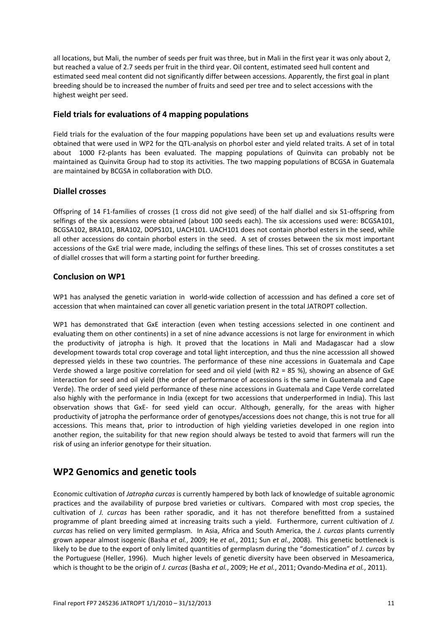all locations, but Mali, the number of seeds per fruit was three, but in Mali in the first year it was only about 2, but reached a value of 2.7 seeds per fruit in the third year. Oil content, estimated seed hull content and estimated seed meal content did not significantly differ between accessions. Apparently, the first goal in plant breeding should be to increased the number of fruits and seed per tree and to select accessions with the highest weight per seed.

# **Field trials for evaluations of 4 mapping populations**

Field trials for the evaluation of the four mapping populations have been set up and evaluations results were obtained that were used in WP2 for the QTL-analysis on phorbol ester and yield related traits. A set of in total about 1000 F2-plants has been evaluated. The mapping populations of Quinvita can probably not be maintained as Quinvita Group had to stop its activities. The two mapping populations of BCGSA in Guatemala are maintained by BCGSA in collaboration with DLO.

# **Diallel crosses**

Offspring of 14 F1-families of crosses (1 cross did not give seed) of the half diallel and six S1-offspring from selfings of the six acessions were obtained (about 100 seeds each). The six accessions used were: BCGSA101, BCGSA102, BRA101, BRA102, DOPS101, UACH101. UACH101 does not contain phorbol esters in the seed, while all other accessions do contain phorbol esters in the seed. A set of crosses between the six most important accessions of the GxE trial were made, including the selfings of these lines. This set of crosses constitutes a set of diallel crosses that will form a starting point for further breeding.

# **Conclusion on WP1**

WP1 has analysed the genetic variation in world-wide collection of accesssion and has defined a core set of accession that when maintained can cover all genetic variation present in the total JATROPT collection.

WP1 has demonstrated that GxE interaction (even when testing accessions selected in one continent and evaluating them on other continents) in a set of nine advance accessions is not large for environment in which the productivity of jatropha is high. It proved that the locations in Mali and Madagascar had a slow development towards total crop coverage and total light interception, and thus the nine accesssion all showed depressed yields in these two countries. The performance of these nine accessions in Guatemala and Cape Verde showed a large positive correlation for seed and oil yield (with R2 = 85 %), showing an absence of GxE interaction for seed and oil yield (the order of performance of accessions is the same in Guatemala and Cape Verde). The order of seed yield performance of these nine accessions in Guatemala and Cape Verde correlated also highly with the performance in India (except for two accessions that underperformed in India). This last observation shows that GxE- for seed yield can occur. Although, generally, for the areas with higher productivity of jatropha the performance order of genotypes/accessions does not change, this is not true for all accessions. This means that, prior to introduction of high yielding varieties developed in one region into another region, the suitability for that new region should always be tested to avoid that farmers will run the risk of using an inferior genotype for their situation.

# <span id="page-10-0"></span>**WP2 Genomics and genetic tools**

Economic cultivation of *Jatropha curcas* is currently hampered by both lack of knowledge of suitable agronomic practices and the availability of purpose bred varieties or cultivars. Compared with most crop species, the cultivation of *J. curcas* has been rather sporadic, and it has not therefore benefitted from a sustained programme of plant breeding aimed at increasing traits such a yield. Furthermore, current cultivation of *J. curcas* has relied on very limited germplasm. In Asia, Africa and South America, the *J. curcas* plants currently grown appear almost isogenic [\(Basha](#page-15-0) *et al.*, 2009; He *et al.*, 2011; Sun *et al.*, 2008). This genetic bottleneck is likely to be due to the export of only limited quantities of germplasm during the "domestication" of *J. curcas* by the Portuguese (Heller, 1996). Much higher levels of genetic diversity have been observed in Mesoamerica, which is thought to be the origin of *J. curcas* [\(Basha](#page-15-0) *et al.*, 2009; He *et al.*, 2011; Ovando-Medina *et al.*, 2011).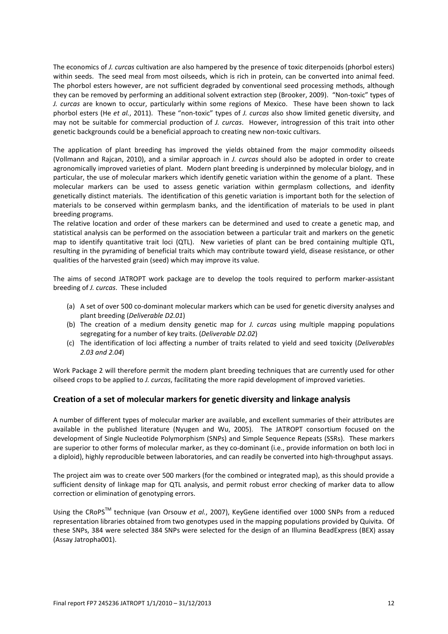The economics of *J. curcas* cultivation are also hampered by the presence of toxic diterpenoids (phorbol esters) within seeds. The seed meal from most oilseeds, which is rich in protein, can be converted into animal feed. The phorbol esters however, are not sufficient degraded by conventional seed processing methods, although they can be removed by performing an additional solvent extraction step (Brooker, 2009). "Non-toxic" types of *J. curcas* are known to occur, particularly within some regions of Mexico. These have been shown to lack phorbol esters (He *et al.*, 2011). These "non-toxic" types of *J. curcas* also show limited genetic diversity, and may not be suitable for commercial production of *J. curcas*. However, introgression of this trait into other genetic backgrounds could be a beneficial approach to creating new non-toxic cultivars.

The application of plant breeding has improved the yields obtained from the major commodity oilseeds (Vollmann and Rajcan, 2010), and a similar approach in *J. curcas* should also be adopted in order to create agronomically improved varieties of plant. Modern plant breeding is underpinned by molecular biology, and in particular, the use of molecular markers which identify genetic variation within the genome of a plant. These molecular markers can be used to assess genetic variation within germplasm collections, and idenfity genetically distinct materials. The identification of this genetic variation is important both for the selection of materials to be conserved within germplasm banks, and the identification of materials to be used in plant breeding programs.

The relative location and order of these markers can be determined and used to create a genetic map, and statistical analysis can be performed on the association between a particular trait and markers on the genetic map to identify quantitative trait loci (QTL). New varieties of plant can be bred containing multiple QTL, resulting in the pyramiding of beneficial traits which may contribute toward yield, disease resistance, or other qualities of the harvested grain (seed) which may improve its value.

The aims of second JATROPT work package are to develop the tools required to perform marker-assistant breeding of *J. curcas*. These included

- (a) A set of over 500 co-dominant molecular markers which can be used for genetic diversity analyses and plant breeding (*Deliverable D2.01*)
- (b) The creation of a medium density genetic map for *J. curcas* using multiple mapping populations segregating for a number of key traits. (*Deliverable D2.02*)
- (c) The identification of loci affecting a number of traits related to yield and seed toxicity (*Deliverables 2.03 and 2.04*)

Work Package 2 will therefore permit the modern plant breeding techniques that are currently used for other oilseed crops to be applied to *J. curcas*, facilitating the more rapid development of improved varieties.

# **Creation of a set of molecular markers for genetic diversity and linkage analysis**

A number of different types of molecular marker are available, and excellent summaries of their attributes are available in the published literature (Nyugen and Wu, 2005). The JATROPT consortium focused on the development of Single Nucleotide Polymorphism (SNPs) and Simple Sequence Repeats (SSRs). These markers are superior to other forms of molecular marker, as they co-dominant (i.e., provide information on both loci in a diploid), highly reproducible between laboratories, and can readily be converted into high-throughput assays.

The project aim was to create over 500 markers (for the combined or integrated map), as this should provide a sufficient density of linkage map for QTL analysis, and permit robust error checking of marker data to allow correction or elimination of genotyping errors.

Using the CRoPSTM technique (van Orsouw *et al.*, 2007), KeyGene identified over 1000 SNPs from a reduced representation libraries obtained from two genotypes used in the mapping populations provided by Quivita. Of these SNPs, 384 were selected 384 SNPs were selected for the design of an Illumina BeadExpress (BEX) assay (Assay Jatropha001).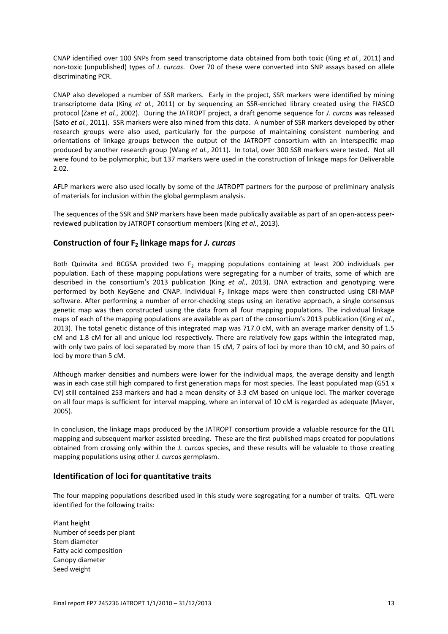CNAP identified over 100 SNPs from seed transcriptome data obtained from both toxic (King *et al.*, 2011) and non-toxic (unpublished) types of *J. curcas*. Over 70 of these were converted into SNP assays based on allele discriminating PCR.

CNAP also developed a number of SSR markers. Early in the project, SSR markers were identified by mining transcriptome data (King *et al.*, 2011) or by sequencing an SSR-enriched library created using the FIASCO protocol (Zane *et al.*, 2002). During the JATROPT project, a draft genome sequence for *J. curcas* was released (Sato *et al.*, 2011). SSR markers were also mined from this data. A number of SSR markers developed by other research groups were also used, particularly for the purpose of maintaining consistent numbering and orientations of linkage groups between the output of the JATROPT consortium with an interspecific map produced by another research group (Wang *et al.*, 2011). In total, over 300 SSR markers were tested. Not all were found to be polymorphic, but 137 markers were used in the construction of linkage maps for Deliverable 2.02.

AFLP markers were also used locally by some of the JATROPT partners for the purpose of preliminary analysis of materials for inclusion within the global germplasm analysis.

The sequences of the SSR and SNP markers have been made publically available as part of an open-access peerreviewed publication by JATROPT consortium members (King *et al.*, 2013).

# **Construction of four F2 linkage maps for** *J. curcas*

Both Quinvita and BCGSA provided two  $F_2$  mapping populations containing at least 200 individuals per population. Each of these mapping populations were segregating for a number of traits, some of which are described in the consortium's 2013 publication (King *et al.*, 2013). DNA extraction and genotyping were performed by both KeyGene and CNAP. Individual  $F<sub>2</sub>$  linkage maps were then constructed using CRI-MAP software. After performing a number of error-checking steps using an iterative approach, a single consensus genetic map was then constructed using the data from all four mapping populations. The individual linkage maps of each of the mapping populations are available as part of the consortium's 2013 publication (King *et al.*, 2013). The total genetic distance of this integrated map was 717.0 cM, with an average marker density of 1.5 cM and 1.8 cM for all and unique loci respectively. There are relatively few gaps within the integrated map, with only two pairs of loci separated by more than 15 cM, 7 pairs of loci by more than 10 cM, and 30 pairs of loci by more than 5 cM.

Although marker densities and numbers were lower for the individual maps, the average density and length was in each case still high compared to first generation maps for most species. The least populated map (G51 x CV) still contained 253 markers and had a mean density of 3.3 cM based on unique loci. The marker coverage on all four maps is sufficient for interval mapping, where an interval of 10 cM is regarded as adequate (Mayer, 2005).

In conclusion, the linkage maps produced by the JATROPT consortium provide a valuable resource for the QTL mapping and subsequent marker assisted breeding. These are the first published maps created for populations obtained from crossing only within the *J. curcas* species, and these results will be valuable to those creating mapping populations using other *J. curcas* germplasm.

# **Identification of loci for quantitative traits**

The four mapping populations described used in this study were segregating for a number of traits. QTL were identified for the following traits:

Plant height Number of seeds per plant Stem diameter Fatty acid composition Canopy diameter Seed weight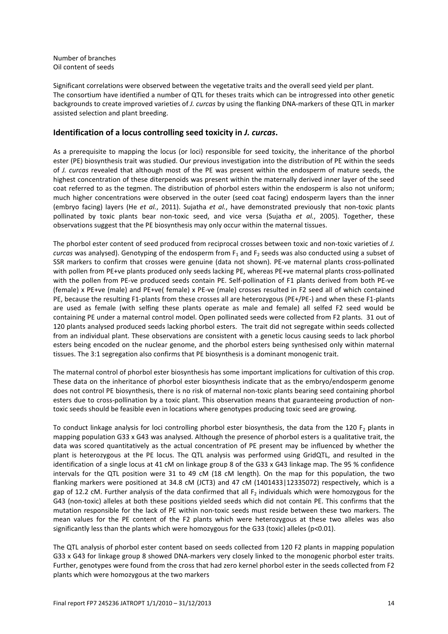Number of branches Oil content of seeds

Significant correlations were observed between the vegetative traits and the overall seed yield per plant. The consortium have identified a number of QTL for theses traits which can be introgressed into other genetic backgrounds to create improved varieties of *J. curcas* by using the flanking DNA-markers of these QTL in marker assisted selection and plant breeding.

# **Identification of a locus controlling seed toxicity in** *J. curcas***.**

As a prerequisite to mapping the locus (or loci) responsible for seed toxicity, the inheritance of the phorbol ester (PE) biosynthesis trait was studied. Our previous investigation into the distribution of PE within the seeds of *J. curcas* revealed that although most of the PE was present within the endosperm of mature seeds, the highest concentration of these diterpenoids was present within the maternally derived inner layer of the seed coat referred to as the tegmen. The distribution of phorbol esters within the endosperm is also not uniform; much higher concentrations were observed in the outer (seed coat facing) endosperm layers than the inner (embryo facing) layers (He *et al.*, 2011). Sujatha *et al.*, have demonstrated previously that non-toxic plants pollinated by toxic plants bear non-toxic seed, and vice versa (Sujatha *et al.*, 2005). Together, these observations suggest that the PE biosynthesis may only occur within the maternal tissues.

The phorbol ester content of seed produced from reciprocal crosses between toxic and non-toxic varieties of *J. curcas* was analysed). Genotyping of the endosperm from F<sub>1</sub> and F<sub>2</sub> seeds was also conducted using a subset of SSR markers to confirm that crosses were genuine (data not shown). PE-ve maternal plants cross-pollinated with pollen from PE+ve plants produced only seeds lacking PE, whereas PE+ve maternal plants cross-pollinated with the pollen from PE-ve produced seeds contain PE. Self-pollination of F1 plants derived from both PE-ve (female) x PE+ve (male) and PE+ve( female) x PE-ve (male) crosses resulted in F2 seed all of which contained PE, because the resulting F1-plants from these crosses all are heterozygous (PE+/PE-) and when these F1-plants are used as female (with selfing these plants operate as male and female) all selfed F2 seed would be containing PE under a maternal control model. Open pollinated seeds were collected from F2 plants. 31 out of 120 plants analysed produced seeds lacking phorbol esters. The trait did not segregate within seeds collected from an individual plant. These observations are consistent with a genetic locus causing seeds to lack phorbol esters being encoded on the nuclear genome, and the phorbol esters being synthesised only within maternal tissues. The 3:1 segregation also confirms that PE biosynthesis is a dominant monogenic trait.

The maternal control of phorbol ester biosynthesis has some important implications for cultivation of this crop. These data on the inheritance of phorbol ester biosynthesis indicate that as the embryo/endosperm genome does not control PE biosynthesis, there is no risk of maternal non-toxic plants bearing seed containing phorbol esters due to cross-pollination by a toxic plant. This observation means that guaranteeing production of nontoxic seeds should be feasible even in locations where genotypes producing toxic seed are growing.

To conduct linkage analysis for loci controlling phorbol ester biosynthesis, the data from the 120  $F_2$  plants in mapping population G33 x G43 was analysed. Although the presence of phorbol esters is a qualitative trait, the data was scored quantitatively as the actual concentration of PE present may be influenced by whether the plant is heterozygous at the PE locus. The QTL analysis was performed using GridQTL, and resulted in the identification of a single locus at 41 cM on linkage group 8 of the G33 x G43 linkage map. The 95 % confidence intervals for the QTL position were 31 to 49 cM (18 cM length). On the map for this population, the two flanking markers were positioned at 34.8 cM (JCT3) and 47 cM (1401433 | 12335072) respectively, which is a gap of 12.2 cM. Further analysis of the data confirmed that all F<sub>2</sub> individuals which were homozygous for the G43 (non-toxic) alleles at both these positions yielded seeds which did not contain PE. This confirms that the mutation responsible for the lack of PE within non-toxic seeds must reside between these two markers. The mean values for the PE content of the F2 plants which were heterozygous at these two alleles was also significantly less than the plants which were homozygous for the G33 (toxic) alleles (p<0.01).

The QTL analysis of phorbol ester content based on seeds collected from 120 F2 plants in mapping population G33 x G43 for linkage group 8 showed DNA-markers very closely linked to the monogenic phorbol ester traits. Further, genotypes were found from the cross that had zero kernel phorbol ester in the seeds collected from F2 plants which were homozygous at the two markers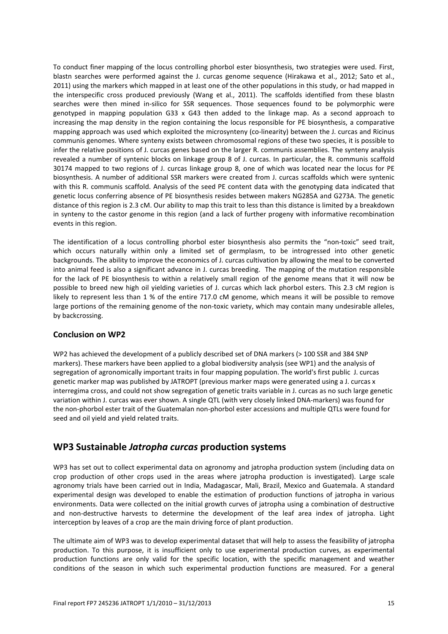To conduct finer mapping of the locus controlling phorbol ester biosynthesis, two strategies were used. First, blastn searches were performed against the J. curcas genome sequence (Hirakawa et al., 2012; Sato et al., 2011) using the markers which mapped in at least one of the other populations in this study, or had mapped in the interspecific cross produced previously (Wang et al., 2011). The scaffolds identified from these blastn searches were then mined in-silico for SSR sequences. Those sequences found to be polymorphic were genotyped in mapping population G33 x G43 then added to the linkage map. As a second approach to increasing the map density in the region containing the locus responsible for PE biosynthesis, a comparative mapping approach was used which exploited the microsynteny (co-linearity) between the J. curcas and Ricinus communis genomes. Where synteny exists between chromosomal regions of these two species, it is possible to infer the relative positions of J. curcas genes based on the larger R. communis assemblies. The synteny analysis revealed a number of syntenic blocks on linkage group 8 of J. curcas. In particular, the R. communis scaffold 30174 mapped to two regions of J. curcas linkage group 8, one of which was located near the locus for PE biosynthesis. A number of additional SSR markers were created from J. curcas scaffolds which were syntenic with this R. communis scaffold. Analysis of the seed PE content data with the genotyping data indicated that genetic locus conferring absence of PE biosynthesis resides between makers NG285A and G273A. The genetic distance of this region is 2.3 cM. Our ability to map this trait to less than this distance is limited by a breakdown in synteny to the castor genome in this region (and a lack of further progeny with informative recombination events in this region.

The identification of a locus controlling phorbol ester biosynthesis also permits the "non-toxic" seed trait, which occurs naturally within only a limited set of germplasm, to be introgressed into other genetic backgrounds. The ability to improve the economics of J. curcas cultivation by allowing the meal to be converted into animal feed is also a significant advance in J. curcas breeding. The mapping of the mutation responsible for the lack of PE biosynthesis to within a relatively small region of the genome means that it will now be possible to breed new high oil yielding varieties of J. curcas which lack phorbol esters. This 2.3 cM region is likely to represent less than 1 % of the entire 717.0 cM genome, which means it will be possible to remove large portions of the remaining genome of the non-toxic variety, which may contain many undesirable alleles, by backcrossing.

# **Conclusion on WP2**

WP2 has achieved the development of a publicly described set of DNA markers (> 100 SSR and 384 SNP markers). These markers have been applied to a global biodiversity analysis (see WP1) and the analysis of segregation of agronomically important traits in four mapping population. The world's first public J. curcas genetic marker map was published by JATROPT (previous marker maps were generated using a J. curcas x interregima cross, and could not show segregation of genetic traits variable in J. curcas as no such large genetic variation within J. curcas was ever shown. A single QTL (with very closely linked DNA-markers) was found for the non-phorbol ester trait of the Guatemalan non-phorbol ester accessions and multiple QTLs were found for seed and oil yield and yield related traits.

# <span id="page-14-0"></span>**WP3 Sustainable** *Jatropha curcas* **production systems**

WP3 has set out to collect experimental data on agronomy and jatropha production system (including data on crop production of other crops used in the areas where jatropha production is investigated). Large scale agronomy trials have been carried out in India, Madagascar, Mali, Brazil, Mexico and Guatemala. A standard experimental design was developed to enable the estimation of production functions of jatropha in various environments. Data were collected on the initial growth curves of jatropha using a combination of destructive and non-destructive harvests to determine the development of the leaf area index of jatropha. Light interception by leaves of a crop are the main driving force of plant production.

The ultimate aim of WP3 was to develop experimental dataset that will help to assess the feasibility of jatropha production. To this purpose, it is insufficient only to use experimental production curves, as experimental production functions are only valid for the specific location, with the specific management and weather conditions of the season in which such experimental production functions are measured. For a general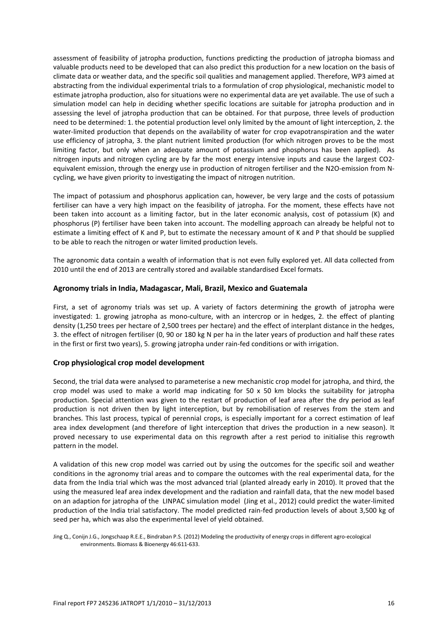assessment of feasibility of jatropha production, functions predicting the production of jatropha biomass and valuable products need to be developed that can also predict this production for a new location on the basis of climate data or weather data, and the specific soil qualities and management applied. Therefore, WP3 aimed at abstracting from the individual experimental trials to a formulation of crop physiological, mechanistic model to estimate jatropha production, also for situations were no experimental data are yet available. The use of such a simulation model can help in deciding whether specific locations are suitable for jatropha production and in assessing the level of jatropha production that can be obtained. For that purpose, three levels of production need to be determined: 1. the potential production level only limited by the amount of light interception, 2. the water-limited production that depends on the availability of water for crop evapotranspiration and the water use efficiency of jatropha, 3. the plant nutrient limited production (for which nitrogen proves to be the most limiting factor, but only when an adequate amount of potassium and phosphorus has been applied). As nitrogen inputs and nitrogen cycling are by far the most energy intensive inputs and cause the largest CO2 equivalent emission, through the energy use in production of nitrogen fertiliser and the N2O-emission from Ncycling, we have given priority to investigating the impact of nitrogen nutrition.

The impact of potassium and phosphorus application can, however, be very large and the costs of potassium fertiliser can have a very high impact on the feasibility of jatropha. For the moment, these effects have not been taken into account as a limiting factor, but in the later economic analysis, cost of potassium (K) and phosphorus (P) fertiliser have been taken into account. The modelling approach can already be helpful not to estimate a limiting effect of K and P, but to estimate the necessary amount of K and P that should be supplied to be able to reach the nitrogen or water limited production levels.

The agronomic data contain a wealth of information that is not even fully explored yet. All data collected from 2010 until the end of 2013 are centrally stored and available standardised Excel formats.

#### **Agronomy trials in India, Madagascar, Mali, Brazil, Mexico and Guatemala**

First, a set of agronomy trials was set up. A variety of factors determining the growth of jatropha were investigated: 1. growing jatropha as mono-culture, with an intercrop or in hedges, 2. the effect of planting density (1,250 trees per hectare of 2,500 trees per hectare) and the effect of interplant distance in the hedges, 3. the effect of nitrogen fertiliser (0, 90 or 180 kg N per ha in the later years of production and half these rates in the first or first two years), 5. growing jatropha under rain-fed conditions or with irrigation.

#### **Crop physiological crop model development**

Second, the trial data were analysed to parameterise a new mechanistic crop model for jatropha, and third, the crop model was used to make a world map indicating for 50  $\times$  50 km blocks the suitability for jatropha production. Special attention was given to the restart of production of leaf area after the dry period as leaf production is not driven then by light interception, but by remobilisation of reserves from the stem and branches. This last process, typical of perennial crops, is especially important for a correct estimation of leaf area index development (and therefore of light interception that drives the production in a new season). It proved necessary to use experimental data on this regrowth after a rest period to initialise this regrowth pattern in the model.

A validation of this new crop model was carried out by using the outcomes for the specific soil and weather conditions in the agronomy trial areas and to compare the outcomes with the real experimental data, for the data from the India trial which was the most advanced trial (planted already early in 2010). It proved that the using the measured leaf area index development and the radiation and rainfall data, that the new model based on an adaption for jatropha of the LINPAC simulation model (Jing et al., 2012) could predict the water-limited production of the India trial satisfactory. The model predicted rain-fed production levels of about 3,500 kg of seed per ha, which was also the experimental level of yield obtained.

<span id="page-15-0"></span>Jing Q., Conijn J.G., Jongschaap R.E.E., Bindraban P.S. (2012) Modeling the productivity of energy crops in different agro-ecological environments. Biomass & Bioenergy 46:611-633.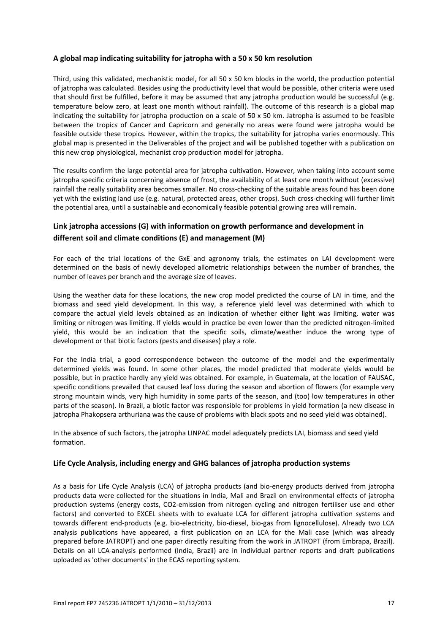### **A global map indicating suitability for jatropha with a 50 x 50 km resolution**

Third, using this validated, mechanistic model, for all 50 x 50 km blocks in the world, the production potential of jatropha was calculated. Besides using the productivity level that would be possible, other criteria were used that should first be fulfilled, before it may be assumed that any jatropha production would be successful (e.g. temperature below zero, at least one month without rainfall). The outcome of this research is a global map indicating the suitability for jatropha production on a scale of  $50 \times 50$  km. Jatropha is assumed to be feasible between the tropics of Cancer and Capricorn and generally no areas were found were jatropha would be feasible outside these tropics. However, within the tropics, the suitability for jatropha varies enormously. This global map is presented in the Deliverables of the project and will be published together with a publication on this new crop physiological, mechanist crop production model for jatropha.

The results confirm the large potential area for jatropha cultivation. However, when taking into account some jatropha specific criteria concerning absence of frost, the availability of at least one month without (excessive) rainfall the really suitability area becomes smaller. No cross-checking of the suitable areas found has been done yet with the existing land use (e.g. natural, protected areas, other crops). Such cross-checking will further limit the potential area, until a sustainable and economically feasible potential growing area will remain.

# **Link jatropha accessions (G) with information on growth performance and development in different soil and climate conditions (E) and management (M)**

For each of the trial locations of the GxE and agronomy trials, the estimates on LAI development were determined on the basis of newly developed allometric relationships between the number of branches, the number of leaves per branch and the average size of leaves.

Using the weather data for these locations, the new crop model predicted the course of LAI in time, and the biomass and seed yield development. In this way, a reference yield level was determined with which to compare the actual yield levels obtained as an indication of whether either light was limiting, water was limiting or nitrogen was limiting. If yields would in practice be even lower than the predicted nitrogen-limited yield, this would be an indication that the specific soils, climate/weather induce the wrong type of development or that biotic factors (pests and diseases) play a role.

For the India trial, a good correspondence between the outcome of the model and the experimentally determined yields was found. In some other places, the model predicted that moderate yields would be possible, but in practice hardly any yield was obtained. For example, in Guatemala, at the location of FAUSAC, specific conditions prevailed that caused leaf loss during the season and abortion of flowers (for example very strong mountain winds, very high humidity in some parts of the season, and (too) low temperatures in other parts of the season). In Brazil, a biotic factor was responsible for problems in yield formation (a new disease in jatropha Phakopsera arthuriana was the cause of problems with black spots and no seed yield was obtained).

In the absence of such factors, the jatropha LINPAC model adequately predicts LAI, biomass and seed yield formation.

#### **Life Cycle Analysis, including energy and GHG balances of jatropha production systems**

As a basis for Life Cycle Analysis (LCA) of jatropha products (and bio-energy products derived from jatropha products data were collected for the situations in India, Mali and Brazil on environmental effects of jatropha production systems (energy costs, CO2-emission from nitrogen cycling and nitrogen fertiliser use and other factors) and converted to EXCEL sheets with to evaluate LCA for different jatropha cultivation systems and towards different end-products (e.g. bio-electricity, bio-diesel, bio-gas from lignocellulose). Already two LCA analysis publications have appeared, a first publication on an LCA for the Mali case (which was already prepared before JATROPT) and one paper directly resulting from the work in JATROPT (from Embrapa, Brazil). Details on all LCA-analysis performed (India, Brazil) are in individual partner reports and draft publications uploaded as 'other documents' in the ECAS reporting system.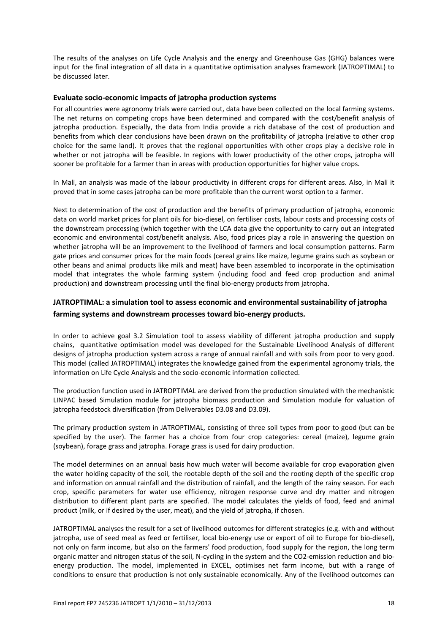The results of the analyses on Life Cycle Analysis and the energy and Greenhouse Gas (GHG) balances were input for the final integration of all data in a quantitative optimisation analyses framework (JATROPTIMAL) to be discussed later.

#### **Evaluate socio-economic impacts of jatropha production systems**

For all countries were agronomy trials were carried out, data have been collected on the local farming systems. The net returns on competing crops have been determined and compared with the cost/benefit analysis of jatropha production. Especially, the data from India provide a rich database of the cost of production and benefits from which clear conclusions have been drawn on the profitability of jatropha (relative to other crop choice for the same land). It proves that the regional opportunities with other crops play a decisive role in whether or not jatropha will be feasible. In regions with lower productivity of the other crops, jatropha will sooner be profitable for a farmer than in areas with production opportunities for higher value crops.

In Mali, an analysis was made of the labour productivity in different crops for different areas. Also, in Mali it proved that in some cases jatropha can be more profitable than the current worst option to a farmer.

Next to determination of the cost of production and the benefits of primary production of jatropha, economic data on world market prices for plant oils for bio-diesel, on fertiliser costs, labour costs and processing costs of the downstream processing (which together with the LCA data give the opportunity to carry out an integrated economic and environmental cost/benefit analysis. Also, food prices play a role in answering the question on whether jatropha will be an improvement to the livelihood of farmers and local consumption patterns. Farm gate prices and consumer prices for the main foods (cereal grains like maize, legume grains such as soybean or other beans and animal products like milk and meat) have been assembled to incorporate in the optimisation model that integrates the whole farming system (including food and feed crop production and animal production) and downstream processing until the final bio-energy products from jatropha.

# **JATROPTIMAL: a simulation tool to assess economic and environmental sustainability of jatropha farming systems and downstream processes toward bio-energy products.**

In order to achieve goal 3.2 Simulation tool to assess viability of different jatropha production and supply chains, quantitative optimisation model was developed for the Sustainable Livelihood Analysis of different designs of jatropha production system across a range of annual rainfall and with soils from poor to very good. This model (called JATROPTIMAL) integrates the knowledge gained from the experimental agronomy trials, the information on Life Cycle Analysis and the socio-economic information collected.

The production function used in JATROPTIMAL are derived from the production simulated with the mechanistic LINPAC based Simulation module for jatropha biomass production and Simulation module for valuation of jatropha feedstock diversification (from Deliverables D3.08 and D3.09).

The primary production system in JATROPTIMAL, consisting of three soil types from poor to good (but can be specified by the user). The farmer has a choice from four crop categories: cereal (maize), legume grain (soybean), forage grass and jatropha. Forage grass is used for dairy production.

The model determines on an annual basis how much water will become available for crop evaporation given the water holding capacity of the soil, the rootable depth of the soil and the rooting depth of the specific crop and information on annual rainfall and the distribution of rainfall, and the length of the rainy season. For each crop, specific parameters for water use efficiency, nitrogen response curve and dry matter and nitrogen distribution to different plant parts are specified. The model calculates the yields of food, feed and animal product (milk, or if desired by the user, meat), and the yield of jatropha, if chosen.

JATROPTIMAL analyses the result for a set of livelihood outcomes for different strategies (e.g. with and without jatropha, use of seed meal as feed or fertiliser, local bio-energy use or export of oil to Europe for bio-diesel), not only on farm income, but also on the farmers' food production, food supply for the region, the long term organic matter and nitrogen status of the soil, N-cycling in the system and the CO2-emission reduction and bioenergy production. The model, implemented in EXCEL, optimises net farm income, but with a range of conditions to ensure that production is not only sustainable economically. Any of the livelihood outcomes can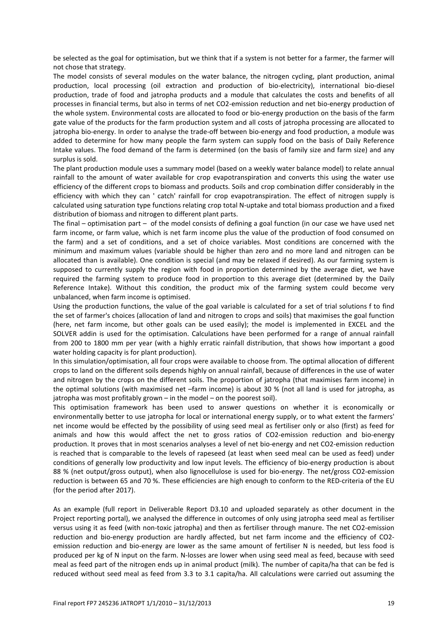be selected as the goal for optimisation, but we think that if a system is not better for a farmer, the farmer will not chose that strategy.

The model consists of several modules on the water balance, the nitrogen cycling, plant production, animal production, local processing (oil extraction and production of bio-electricity), international bio-diesel production, trade of food and jatropha products and a module that calculates the costs and benefits of all processes in financial terms, but also in terms of net CO2-emission reduction and net bio-energy production of the whole system. Environmental costs are allocated to food or bio-energy production on the basis of the farm gate value of the products for the farm production system and all costs of jatropha processing are allocated to jatropha bio-energy. In order to analyse the trade-off between bio-energy and food production, a module was added to determine for how many people the farm system can supply food on the basis of Daily Reference Intake values. The food demand of the farm is determined (on the basis of family size and farm size) and any surplus is sold.

The plant production module uses a summary model (based on a weekly water balance model) to relate annual rainfall to the amount of water available for crop evapotranspiration and converts this using the water use efficiency of the different crops to biomass and products. Soils and crop combination differ considerably in the efficiency with which they can ' catch' rainfall for crop evapotranspiration. The effect of nitrogen supply is calculated using saturation type functions relating crop total N-uptake and total biomass production and a fixed distribution of biomass and nitrogen to different plant parts.

The final – optimisation part – of the model consists of defining a goal function (in our case we have used net farm income, or farm value, which is net farm income plus the value of the production of food consumed on the farm) and a set of conditions, and a set of choice variables. Most conditions are concerned with the minimum and maximum values (variable should be higher than zero and no more land and nitrogen can be allocated than is available). One condition is special (and may be relaxed if desired). As our farming system is supposed to currently supply the region with food in proportion determined by the average diet, we have required the farming system to produce food in proportion to this average diet (determined by the Daily Reference Intake). Without this condition, the product mix of the farming system could become very unbalanced, when farm income is optimised.

Using the production functions, the value of the goal variable is calculated for a set of trial solutions f to find the set of farmer's choices (allocation of land and nitrogen to crops and soils) that maximises the goal function (here, net farm income, but other goals can be used easily); the model is implemented in EXCEL and the SOLVER addin is used for the optimisation. Calculations have been performed for a range of annual rainfall from 200 to 1800 mm per year (with a highly erratic rainfall distribution, that shows how important a good water holding capacity is for plant production).

In this simulation/optimisation, all four crops were available to choose from. The optimal allocation of different crops to land on the different soils depends highly on annual rainfall, because of differences in the use of water and nitrogen by the crops on the different soils. The proportion of jatropha (that maximises farm income) in the optimal solutions (with maximised net –farm income) is about 30 % (not all land is used for jatropha, as jatropha was most profitably grown – in the model – on the poorest soil).

This optimisation framework has been used to answer questions on whether it is economically or environmentally better to use jatropha for local or international energy supply, or to what extent the farmers' net income would be effected by the possibility of using seed meal as fertiliser only or also (first) as feed for animals and how this would affect the net to gross ratios of CO2-emission reduction and bio-energy production. It proves that in most scenarios analyses a level of net bio-energy and net CO2-emission reduction is reached that is comparable to the levels of rapeseed (at least when seed meal can be used as feed) under conditions of generally low productivity and low input levels. The efficiency of bio-energy production is about 88 % (net output/gross output), when also lignocellulose is used for bio-energy. The net/gross CO2-emission reduction is between 65 and 70 %. These efficiencies are high enough to conform to the RED-criteria of the EU (for the period after 2017).

As an example (full report in Deliverable Report D3.10 and uploaded separately as other document in the Project reporting portal), we analysed the difference in outcomes of only using jatropha seed meal as fertiliser versus using it as feed (with non-toxic jatropha) and then as fertiliser through manure. The net CO2-emission reduction and bio-energy production are hardly affected, but net farm income and the efficiency of CO2 emission reduction and bio-energy are lower as the same amount of fertiliser N is needed, but less food is produced per kg of N input on the farm. N-losses are lower when using seed meal as feed, because with seed meal as feed part of the nitrogen ends up in animal product (milk). The number of capita/ha that can be fed is reduced without seed meal as feed from 3.3 to 3.1 capita/ha. All calculations were carried out assuming the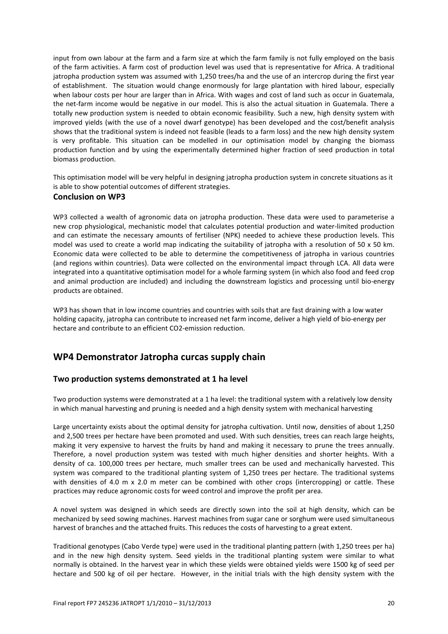input from own labour at the farm and a farm size at which the farm family is not fully employed on the basis of the farm activities. A farm cost of production level was used that is representative for Africa. A traditional jatropha production system was assumed with 1,250 trees/ha and the use of an intercrop during the first year of establishment. The situation would change enormously for large plantation with hired labour, especially when labour costs per hour are larger than in Africa. With wages and cost of land such as occur in Guatemala, the net-farm income would be negative in our model. This is also the actual situation in Guatemala. There a totally new production system is needed to obtain economic feasibility. Such a new, high density system with improved yields (with the use of a novel dwarf genotype) has been developed and the cost/benefit analysis shows that the traditional system is indeed not feasible (leads to a farm loss) and the new high density system is very profitable. This situation can be modelled in our optimisation model by changing the biomass production function and by using the experimentally determined higher fraction of seed production in total biomass production.

This optimisation model will be very helpful in designing jatropha production system in concrete situations as it is able to show potential outcomes of different strategies.

#### **Conclusion on WP3**

WP3 collected a wealth of agronomic data on jatropha production. These data were used to parameterise a new crop physiological, mechanistic model that calculates potential production and water-limited production and can estimate the necessary amounts of fertiliser (NPK) needed to achieve these production levels. This model was used to create a world map indicating the suitability of jatropha with a resolution of 50 x 50 km. Economic data were collected to be able to determine the competitiveness of jatropha in various countries (and regions within countries). Data were collected on the environmental impact through LCA. All data were integrated into a quantitative optimisation model for a whole farming system (in which also food and feed crop and animal production are included) and including the downstream logistics and processing until bio-energy products are obtained.

WP3 has shown that in low income countries and countries with soils that are fast draining with a low water holding capacity, jatropha can contribute to increased net farm income, deliver a high yield of bio-energy per hectare and contribute to an efficient CO2-emission reduction.

# <span id="page-19-0"></span>**WP4 Demonstrator Jatropha curcas supply chain**

# **Two production systems demonstrated at 1 ha level**

Two production systems were demonstrated at a 1 ha level: the traditional system with a relatively low density in which manual harvesting and pruning is needed and a high density system with mechanical harvesting

Large uncertainty exists about the optimal density for jatropha cultivation. Until now, densities of about 1,250 and 2,500 trees per hectare have been promoted and used. With such densities, trees can reach large heights, making it very expensive to harvest the fruits by hand and making it necessary to prune the trees annually. Therefore, a novel production system was tested with much higher densities and shorter heights. With a density of ca. 100,000 trees per hectare, much smaller trees can be used and mechanically harvested. This system was compared to the traditional planting system of 1,250 trees per hectare. The traditional systems with densities of 4.0 m x 2.0 m meter can be combined with other crops (intercropping) or cattle. These practices may reduce agronomic costs for weed control and improve the profit per area.

A novel system was designed in which seeds are directly sown into the soil at high density, which can be mechanized by seed sowing machines. Harvest machines from sugar cane or sorghum were used simultaneous harvest of branches and the attached fruits. This reduces the costs of harvesting to a great extent.

Traditional genotypes (Cabo Verde type) were used in the traditional planting pattern (with 1,250 trees per ha) and in the new high density system. Seed yields in the traditional planting system were similar to what normally is obtained. In the harvest year in which these yields were obtained yields were 1500 kg of seed per hectare and 500 kg of oil per hectare. However, in the initial trials with the high density system with the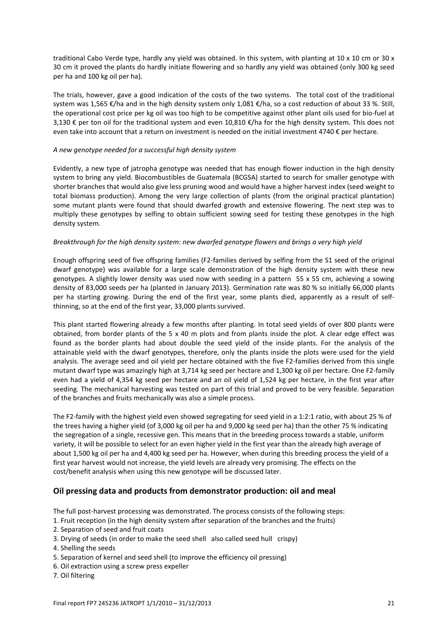traditional Cabo Verde type, hardly any yield was obtained. In this system, with planting at 10 x 10 cm or 30 x 30 cm it proved the plants do hardly initiate flowering and so hardly any yield was obtained (only 300 kg seed per ha and 100 kg oil per ha).

The trials, however, gave a good indication of the costs of the two systems. The total cost of the traditional system was 1,565 €/ha and in the high density system only 1,081 €/ha, so a cost reduction of about 33 %. Still, the operational cost price per kg oil was too high to be competitive against other plant oils used for bio-fuel at 3,130 € per ton oil for the traditional system and even 10,810 €/ha for the high density system. This does not even take into account that a return on investment is needed on the initial investment 4740 € per hectare.

#### *A new genotype needed for a successful high density system*

Evidently, a new type of jatropha genotype was needed that has enough flower induction in the high density system to bring any yield. Biocombustibles de Guatemala (BCGSA) started to search for smaller genotype with shorter branches that would also give less pruning wood and would have a higher harvest index (seed weight to total biomass production). Among the very large collection of plants (from the original practical plantation) some mutant plants were found that should dwarfed growth and extensive flowering. The next step was to multiply these genotypes by selfing to obtain sufficient sowing seed for testing these genotypes in the high density system.

#### *Breakthrough for the high density system: new dwarfed genotype flowers and brings a very high yield*

Enough offspring seed of five offspring families (F2-families derived by selfing from the S1 seed of the original dwarf genotype) was available for a large scale demonstration of the high density system with these new genotypes. A slightly lower density was used now with seeding in a pattern 55 x 55 cm, achieving a sowing density of 83,000 seeds per ha (planted in January 2013). Germination rate was 80 % so initially 66,000 plants per ha starting growing. During the end of the first year, some plants died, apparently as a result of selfthinning, so at the end of the first year, 33,000 plants survived.

This plant started flowering already a few months after planting. In total seed yields of over 800 plants were obtained, from border plants of the 5 x 40 m plots and from plants inside the plot. A clear edge effect was found as the border plants had about double the seed yield of the inside plants. For the analysis of the attainable yield with the dwarf genotypes, therefore, only the plants inside the plots were used for the yield analysis. The average seed and oil yield per hectare obtained with the five F2-families derived from this single mutant dwarf type was amazingly high at 3,714 kg seed per hectare and 1,300 kg oil per hectare. One F2-family even had a yield of 4,354 kg seed per hectare and an oil yield of 1,524 kg per hectare, in the first year after seeding. The mechanical harvesting was tested on part of this trial and proved to be very feasible. Separation of the branches and fruits mechanically was also a simple process.

The F2-family with the highest yield even showed segregating for seed yield in a 1:2:1 ratio, with about 25 % of the trees having a higher yield (of 3,000 kg oil per ha and 9,000 kg seed per ha) than the other 75 % indicating the segregation of a single, recessive gen. This means that in the breeding process towards a stable, uniform variety, it will be possible to select for an even higher yield in the first year than the already high average of about 1,500 kg oil per ha and 4,400 kg seed per ha. However, when during this breeding process the yield of a first year harvest would not increase, the yield levels are already very promising. The effects on the cost/benefit analysis when using this new genotype will be discussed later.

# **Oil pressing data and products from demonstrator production: oil and meal**

The full post-harvest processing was demonstrated. The process consists of the following steps:

- 1. Fruit reception (in the high density system after separation of the branches and the fruits)
- 2. Separation of seed and fruit coats
- 3. Drying of seeds (in order to make the seed shell also called seed hull crispy)
- 4. Shelling the seeds
- 5. Separation of kernel and seed shell (to improve the efficiency oil pressing)
- 6. Oil extraction using a screw press expeller
- 7. Oil filtering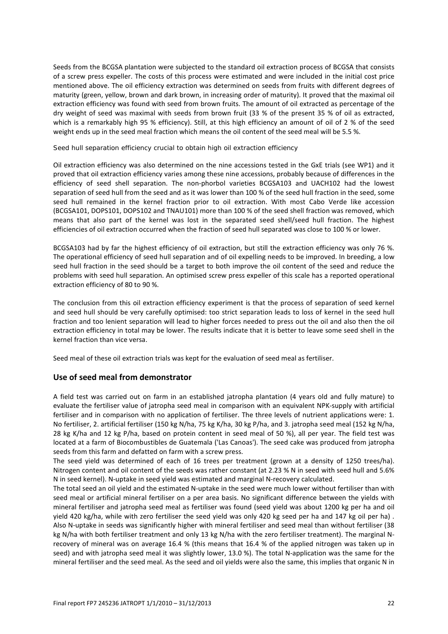Seeds from the BCGSA plantation were subjected to the standard oil extraction process of BCGSA that consists of a screw press expeller. The costs of this process were estimated and were included in the initial cost price mentioned above. The oil efficiency extraction was determined on seeds from fruits with different degrees of maturity (green, yellow, brown and dark brown, in increasing order of maturity). It proved that the maximal oil extraction efficiency was found with seed from brown fruits. The amount of oil extracted as percentage of the dry weight of seed was maximal with seeds from brown fruit (33 % of the present 35 % of oil as extracted, which is a remarkably high 95 % efficiency). Still, at this high efficiency an amount of oil of 2 % of the seed weight ends up in the seed meal fraction which means the oil content of the seed meal will be 5.5 %.

#### *Seed hull separation efficiency crucial to obtain high oil extraction efficiency*

Oil extraction efficiency was also determined on the nine accessions tested in the GxE trials (see WP1) and it proved that oil extraction efficiency varies among these nine accessions, probably because of differences in the efficiency of seed shell separation. The non-phorbol varieties BCGSA103 and UACH102 had the lowest separation of seed hull from the seed and as it was lower than 100 % of the seed hull fraction in the seed, some seed hull remained in the kernel fraction prior to oil extraction. With most Cabo Verde like accession (BCGSA101, DOPS101, DOPS102 and TNAU101) more than 100 % of the seed shell fraction was removed, which means that also part of the kernel was lost in the separated seed shell/seed hull fraction. The highest efficiencies of oil extraction occurred when the fraction of seed hull separated was close to 100 % or lower.

BCGSA103 had by far the highest efficiency of oil extraction, but still the extraction efficiency was only 76 %. The operational efficiency of seed hull separation and of oil expelling needs to be improved. In breeding, a low seed hull fraction in the seed should be a target to both improve the oil content of the seed and reduce the problems with seed hull separation. An optimised screw press expeller of this scale has a reported operational extraction efficiency of 80 to 90 %.

The conclusion from this oil extraction efficiency experiment is that the process of separation of seed kernel and seed hull should be very carefully optimised: too strict separation leads to loss of kernel in the seed hull fraction and too lenient separation will lead to higher forces needed to press out the oil and also then the oil extraction efficiency in total may be lower. The results indicate that it is better to leave some seed shell in the kernel fraction than vice versa.

Seed meal of these oil extraction trials was kept for the evaluation of seed meal as fertiliser.

# **Use of seed meal from demonstrator**

A field test was carried out on farm in an established jatropha plantation (4 years old and fully mature) to evaluate the fertiliser value of jatropha seed meal in comparison with an equivalent NPK-supply with artificial fertiliser and in comparison with no application of fertiliser. The three levels of nutrient applications were: 1. No fertiliser, 2. artificial fertiliser (150 kg N/ha, 75 kg K/ha, 30 kg P/ha, and 3. jatropha seed meal (152 kg N/ha, 28 kg K/ha and 12 kg P/ha, based on protein content in seed meal of 50 %), all per year. The field test was located at a farm of Biocombustibles de Guatemala ('Las Canoas'). The seed cake was produced from jatropha seeds from this farm and defatted on farm with a screw press.

The seed yield was determined of each of 16 trees per treatment (grown at a density of 1250 trees/ha). Nitrogen content and oil content of the seeds was rather constant (at 2.23 % N in seed with seed hull and 5.6% N in seed kernel). N-uptake in seed yield was estimated and marginal N-recovery calculated.

The total seed an oil yield and the estimated N-uptake in the seed were much lower without fertiliser than with seed meal or artificial mineral fertiliser on a per area basis. No significant difference between the yields with mineral fertiliser and jatropha seed meal as fertiliser was found (seed yield was about 1200 kg per ha and oil yield 420 kg/ha, while with zero fertiliser the seed yield was only 420 kg seed per ha and 147 kg oil per ha). Also N-uptake in seeds was significantly higher with mineral fertiliser and seed meal than without fertiliser (38 kg N/ha with both fertiliser treatment and only 13 kg N/ha with the zero fertiliser treatment). The marginal Nrecovery of mineral was on average 16.4 % (this means that 16.4 % of the applied nitrogen was taken up in seed) and with jatropha seed meal it was slightly lower, 13.0 %). The total N-application was the same for the mineral fertiliser and the seed meal. As the seed and oil yields were also the same, this implies that organic N in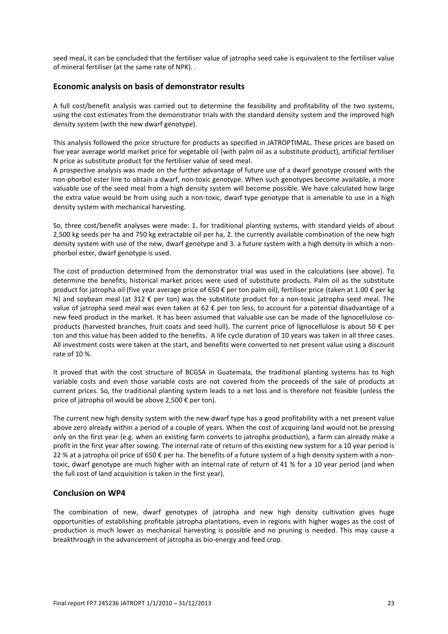seed meal, it can be concluded that the fertiliser value of jatropha seed cake is equivalent to the fertiliser value of mineral fertiliser (at the same rate of NPK). .

#### **Economic analysis on basis of demonstrator results**

A full cost/benefit analysis was carried out to determine the feasibility and profitability of the two systems, using the cost estimates from the demonstrator trials with the standard density system and the improved high density system (with the new dwarf genotype).

This analysis followed the price structure for products as specified in JATROPTIMAL. These prices are based on five year average world market price for vegetable oil (with palm oil as a substitute product), artificial fertiliser N price as substitute product for the fertiliser value of seed meal.

A prospective analysis was made on the further advantage of future use of a dwarf genotype crossed with the non-phorbol ester line to obtain a dwarf, non-toxic genotype. When such genotypes become available, a more valuable use of the seed meal from a high density system will become possible. We have calculated how large the extra value would be from using such a non-toxic, dwarf type genotype that is amenable to use in a high density system with mechanical harvesting.

So, three cost/benefit analyses were made: 1. for traditional planting systems, with standard yields of about 2,500 kg seeds per ha and 750 kg extractable oil per ha, 2. the currently available combination of the new high density system with use of the new, dwarf genotype and 3. a future system with a high density in which a nonphorbol ester, dwarf genotype is used.

The cost of production determined from the demonstrator trial was used in the calculations (see above). To determine the benefits, historical market prices were used of substitute products. Palm oil as the substitute product for jatropha oil (five year average price of 650 € per ton palm oil), fertiliser price (taken at 1.00 € per kg N) and soybean meal (at 312  $\epsilon$  per ton) was the substitute product for a non-toxic jatropha seed meal. The value of jatropha seed meal was even taken at 62 € per ton less, to account for a potential disadvantage of a new feed product in the market. It has been assumed that valuable use can be made of the lignocellulose coproducts (harvested branches, fruit coats and seed hull). The current price of lignocellulose is about 50 € per ton and this value has been added to the benefits. A life cycle duration of 10 years was taken in all three cases. All investment costs were taken at the start, and benefits were converted to net present value using a discount rate of 10 %.

It proved that with the cost structure of BCGSA in Guatemala, the traditional planting systems has to high variable costs and even those variable costs are not covered from the proceeds of the sale of products at current prices. So, the traditional planting system leads to a net loss and is therefore not feasible (unless the price of jatropha oil would be above 2,500 € per ton).

The current new high density system with the new dwarf type has a good profitability with a net present value above zero already within a period of a couple of years. When the cost of acquiring land would not be pressing only on the first year (e.g. when an existing farm converts to jatropha production), a farm can already make a profit in the first year after sowing. The internal rate of return of this existing new system for a 10 year period is 22 % at a jatropha oil price of 650 € per ha. The benefits of a future system of a high density system with a nontoxic, dwarf genotype are much higher with an internal rate of return of 41 % for a 10 year period (and when the full cost of land acquisition is taken in the first year).

#### **Conclusion on WP4**

The combination of new, dwarf genotypes of jatropha and new high density cultivation gives huge opportunities of establishing profitable jatropha plantations, even in regions with higher wages as the cost of production is much lower as mechanical harvesting is possible and no pruning is needed. This may cause a breakthrough in the advancement of jatropha as bio-energy and feed crop.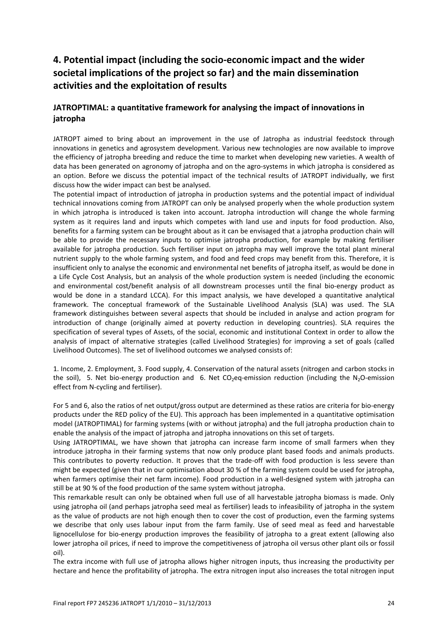# <span id="page-23-0"></span>**4. Potential impact (including the socio-economic impact and the wider societal implications of the project so far) and the main dissemination activities and the exploitation of results**

# **JATROPTIMAL: a quantitative framework for analysing the impact of innovations in jatropha**

JATROPT aimed to bring about an improvement in the use of Jatropha as industrial feedstock through innovations in genetics and agrosystem development. Various new technologies are now available to improve the efficiency of jatropha breeding and reduce the time to market when developing new varieties. A wealth of data has been generated on agronomy of jatropha and on the agro-systems in which jatropha is considered as an option. Before we discuss the potential impact of the technical results of JATROPT individually, we first discuss how the wider impact can best be analysed.

The potential impact of introduction of jatropha in production systems and the potential impact of individual technical innovations coming from JATROPT can only be analysed properly when the whole production system in which jatropha is introduced is taken into account. Jatropha introduction will change the whole farming system as it requires land and inputs which competes with land use and inputs for food production. Also, benefits for a farming system can be brought about as it can be envisaged that a jatropha production chain will be able to provide the necessary inputs to optimise jatropha production, for example by making fertiliser available for jatropha production. Such fertiliser input on jatropha may well improve the total plant mineral nutrient supply to the whole farming system, and food and feed crops may benefit from this. Therefore, it is insufficient only to analyse the economic and environmental net benefits of jatropha itself, as would be done in a Life Cycle Cost Analysis, but an analysis of the whole production system is needed (including the economic and environmental cost/benefit analysis of all downstream processes until the final bio-energy product as would be done in a standard LCCA). For this impact analysis, we have developed a quantitative analytical framework. The conceptual framework of the Sustainable Livelihood Analysis (SLA) was used. The SLA framework distinguishes between several aspects that should be included in analyse and action program for introduction of change (originally aimed at poverty reduction in developing countries). SLA requires the specification of several types of Assets, of the social, economic and institutional Context in order to allow the analysis of impact of alternative strategies (called Livelihood Strategies) for improving a set of goals (called Livelihood Outcomes). The set of livelihood outcomes we analysed consists of:

1. Income, 2. Employment, 3. Food supply, 4. Conservation of the natural assets (nitrogen and carbon stocks in the soil), 5. Net bio-energy production and 6. Net  $CO<sub>2</sub>$ eq-emission reduction (including the N<sub>2</sub>O-emission effect from N-cycling and fertiliser).

For 5 and 6, also the ratios of net output/gross output are determined as these ratios are criteria for bio-energy products under the RED policy of the EU). This approach has been implemented in a quantitative optimisation model (JATROPTIMAL) for farming systems (with or without jatropha) and the full jatropha production chain to enable the analysis of the impact of jatropha and jatropha innovations on this set of targets.

Using JATROPTIMAL, we have shown that jatropha can increase farm income of small farmers when they introduce jatropha in their farming systems that now only produce plant based foods and animals products. This contributes to poverty reduction. It proves that the trade-off with food production is less severe than might be expected (given that in our optimisation about 30 % of the farming system could be used for jatropha, when farmers optimise their net farm income). Food production in a well-designed system with jatropha can still be at 90 % of the food production of the same system without jatropha.

This remarkable result can only be obtained when full use of all harvestable jatropha biomass is made. Only using jatropha oil (and perhaps jatropha seed meal as fertiliser) leads to infeasibility of jatropha in the system as the value of products are not high enough then to cover the cost of production, even the farming systems we describe that only uses labour input from the farm family. Use of seed meal as feed and harvestable lignocellulose for bio-energy production improves the feasibility of jatropha to a great extent (allowing also lower jatropha oil prices, if need to improve the competitiveness of jatropha oil versus other plant oils or fossil oil).

The extra income with full use of jatropha allows higher nitrogen inputs, thus increasing the productivity per hectare and hence the profitability of jatropha. The extra nitrogen input also increases the total nitrogen input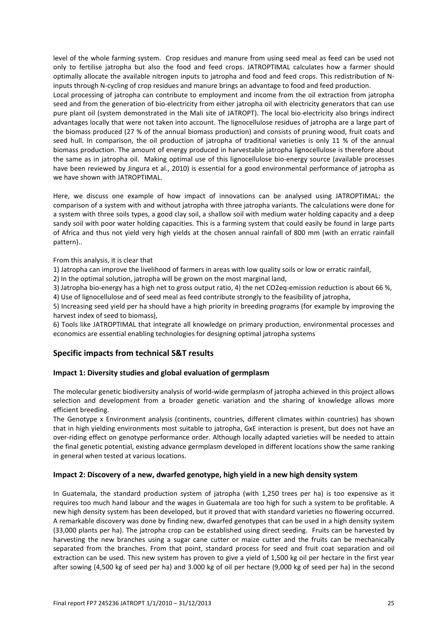level of the whole farming system. Crop residues and manure from using seed meal as feed can be used not only to fertilise jatropha but also the food and feed crops. JATROPTIMAL calculates how a farmer should optimally allocate the available nitrogen inputs to jatropha and food and feed crops. This redistribution of Ninputs through N-cycling of crop residues and manure brings an advantage to food and feed production.

Local processing of jatropha can contribute to employment and income from the oil extraction from jatropha seed and from the generation of bio-electricity from either jatropha oil with electricity generators that can use pure plant oil (system demonstrated in the Mali site of JATROPT). The local bio-electricity also brings indirect advantages locally that were not taken into account. The lignocellulose residues of jatropha are a large part of the biomass produced (27 % of the annual biomass production) and consists of pruning wood, fruit coats and seed hull. In comparison, the oil production of jatropha of traditional varieties is only 11 % of the annual biomass production. The amount of energy produced in harvestable jatropha lignocellulose is therefore about the same as in jatropha oil. Making optimal use of this lignocellulose bio-energy source (available processes have been reviewed by Jingura et al., 2010) is essential for a good environmental performance of jatropha as we have shown with JATROPTIMAL.

Here, we discuss one example of how impact of innovations can be analysed using JATROPTIMAL: the comparison of a system with and without jatropha with three jatropha variants. The calculations were done for a system with three soils types, a good clay soil, a shallow soil with medium water holding capacity and a deep sandy soil with poor water holding capacities. This is a farming system that could easily be found in large parts of Africa and thus not yield very high yields at the chosen annual rainfall of 800 mm (with an erratic rainfall pattern)..

From this analysis, it is clear that

1) Jatropha can improve the livelihood of farmers in areas with low quality soils or low or erratic rainfall,

2) In the optimal solution, jatropha will be grown on the most marginal land,

3) Jatropha bio-energy has a high net to gross output ratio, 4) the net CO2eq-emission reduction is about 66 %,

4) Use of lignocellulose and of seed meal as feed contribute strongly to the feasibility of jatropha,

5) Increasing seed yield per ha should have a high priority in breeding programs (for example by improving the harvest index of seed to biomass),

6) Tools like JATROPTIMAL that integrate all knowledge on primary production, environmental processes and economics are essential enabling technologies for designing optimal jatropha systems

# **Specific impacts from technical S&T results**

#### **Impact 1: Diversity studies and global evaluation of germplasm**

The molecular genetic biodiversity analysis of world-wide germplasm of jatropha achieved in this project allows selection and development from a broader genetic variation and the sharing of knowledge allows more efficient breeding.

The Genotype x Environment analysis (continents, countries, different climates within countries) has shown that in high yielding environments most suitable to jatropha, GxE interaction is present, but does not have an over-riding effect on genotype performance order. Although locally adapted varieties will be needed to attain the final genetic potential, existing advance germplasm developed in different locations show the same ranking in general when tested at various locations.

#### **Impact 2: Discovery of a new, dwarfed genotype, high yield in a new high density system**

In Guatemala, the standard production system of jatropha (with 1,250 trees per ha) is too expensive as it requires too much hand labour and the wages in Guatemala are too high for such a system to be profitable. A new high density system has been developed, but it proved that with standard varieties no flowering occurred. A remarkable discovery was done by finding new, dwarfed genotypes that can be used in a high density system (33,000 plants per ha). The jatropha crop can be established using direct seeding. Fruits can be harvested by harvesting the new branches using a sugar cane cutter or maize cutter and the fruits can be mechanically separated from the branches. From that point, standard process for seed and fruit coat separation and oil extraction can be used. This new system has proven to give a yield of 1,500 kg oil per hectare in the first year after sowing (4,500 kg of seed per ha) and 3.000 kg of oil per hectare (9,000 kg of seed per ha) in the second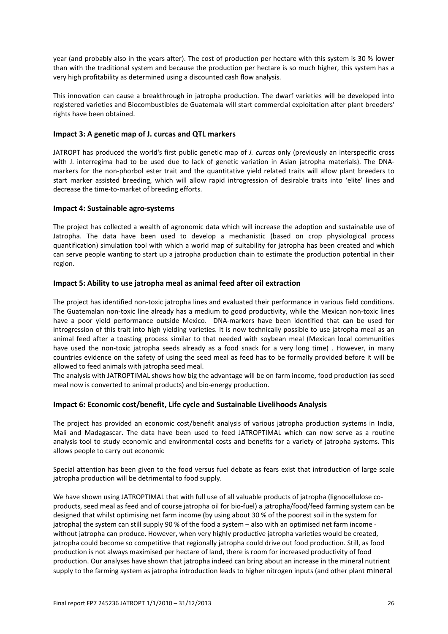year (and probably also in the years after). The cost of production per hectare with this system is 30 % lower than with the traditional system and because the production per hectare is so much higher, this system has a very high profitability as determined using a discounted cash flow analysis.

This innovation can cause a breakthrough in jatropha production. The dwarf varieties will be developed into registered varieties and Biocombustibles de Guatemala will start commercial exploitation after plant breeders' rights have been obtained.

#### **Impact 3: A genetic map of J. curcas and QTL markers**

JATROPT has produced the world's first public genetic map of *J. curcas* only (previously an interspecific cross with J. interregima had to be used due to lack of genetic variation in Asian jatropha materials). The DNAmarkers for the non-phorbol ester trait and the quantitative yield related traits will allow plant breeders to start marker assisted breeding, which will allow rapid introgression of desirable traits into 'elite' lines and decrease the time-to-market of breeding efforts.

#### **Impact 4: Sustainable agro-systems**

The project has collected a wealth of agronomic data which will increase the adoption and sustainable use of Jatropha. The data have been used to develop a mechanistic (based on crop physiological process quantification) simulation tool with which a world map of suitability for jatropha has been created and which can serve people wanting to start up a jatropha production chain to estimate the production potential in their region.

#### **Impact 5: Ability to use jatropha meal as animal feed after oil extraction**

The project has identified non-toxic jatropha lines and evaluated their performance in various field conditions. The Guatemalan non-toxic line already has a medium to good productivity, while the Mexican non-toxic lines have a poor yield performance outside Mexico. DNA-markers have been identified that can be used for introgression of this trait into high yielding varieties. It is now technically possible to use jatropha meal as an animal feed after a toasting process similar to that needed with soybean meal (Mexican local communities have used the non-toxic jatropha seeds already as a food snack for a very long time). However, in many countries evidence on the safety of using the seed meal as feed has to be formally provided before it will be allowed to feed animals with jatropha seed meal.

The analysis with JATROPTIMAL shows how big the advantage will be on farm income, food production (as seed meal now is converted to animal products) and bio-energy production.

# **Impact 6: Economic cost/benefit, Life cycle and Sustainable Livelihoods Analysis**

The project has provided an economic cost/benefit analysis of various jatropha production systems in India, Mali and Madagascar. The data have been used to feed JATROPTIMAL which can now serve as a routine analysis tool to study economic and environmental costs and benefits for a variety of jatropha systems. This allows people to carry out economic

Special attention has been given to the food versus fuel debate as fears exist that introduction of large scale jatropha production will be detrimental to food supply.

We have shown using JATROPTIMAL that with full use of all valuable products of jatropha (lignocellulose coproducts, seed meal as feed and of course jatropha oil for bio-fuel) a jatropha/food/feed farming system can be designed that whilst optimising net farm income (by using about 30 % of the poorest soil in the system for jatropha) the system can still supply 90 % of the food a system – also with an optimised net farm income without jatropha can produce. However, when very highly productive jatropha varieties would be created, jatropha could become so competitive that regionally jatropha could drive out food production. Still, as food production is not always maximised per hectare of land, there is room for increased productivity of food production. Our analyses have shown that jatropha indeed can bring about an increase in the mineral nutrient supply to the farming system as jatropha introduction leads to higher nitrogen inputs (and other plant mineral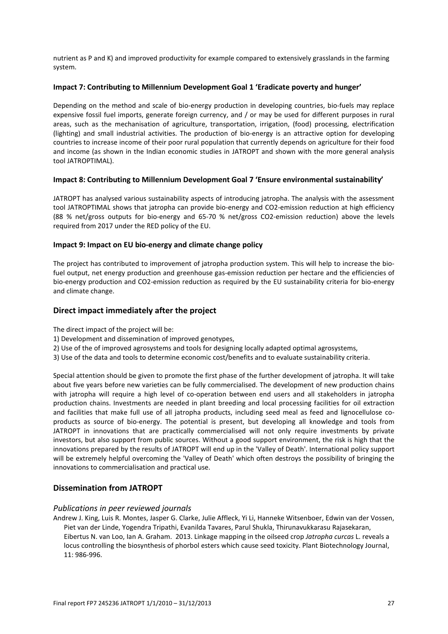nutrient as P and K) and improved productivity for example compared to extensively grasslands in the farming system.

#### **Impact 7: Contributing to Millennium Development Goal 1 'Eradicate poverty and hunger'**

Depending on the method and scale of bio-energy production in developing countries, bio-fuels may replace expensive fossil fuel imports, generate foreign currency, and / or may be used for different purposes in rural areas, such as the mechanisation of agriculture, transportation, irrigation, (food) processing, electrification (lighting) and small industrial activities. The production of bio-energy is an attractive option for developing countries to increase income of their poor rural population that currently depends on agriculture for their food and income (as shown in the Indian economic studies in JATROPT and shown with the more general analysis tool JATROPTIMAL).

#### **Impact 8: Contributing to Millennium Development Goal 7 'Ensure environmental sustainability'**

JATROPT has analysed various sustainability aspects of introducing jatropha. The analysis with the assessment tool JATROPTIMAL shows that jatropha can provide bio-energy and CO2-emission reduction at high efficiency (88 % net/gross outputs for bio-energy and 65-70 % net/gross CO2-emission reduction) above the levels required from 2017 under the RED policy of the EU.

#### **Impact 9: Impact on EU bio-energy and climate change policy**

The project has contributed to improvement of jatropha production system. This will help to increase the biofuel output, net energy production and greenhouse gas-emission reduction per hectare and the efficiencies of bio-energy production and CO2-emission reduction as required by the EU sustainability criteria for bio-energy and climate change.

# **Direct impact immediately after the project**

The direct impact of the project will be:

- 1) Development and dissemination of improved genotypes,
- 2) Use of the of improved agrosystems and tools for designing locally adapted optimal agrosystems,
- 3) Use of the data and tools to determine economic cost/benefits and to evaluate sustainability criteria.

Special attention should be given to promote the first phase of the further development of jatropha. It will take about five years before new varieties can be fully commercialised. The development of new production chains with jatropha will require a high level of co-operation between end users and all stakeholders in jatropha production chains. Investments are needed in plant breeding and local processing facilities for oil extraction and facilities that make full use of all jatropha products, including seed meal as feed and lignocellulose coproducts as source of bio-energy. The potential is present, but developing all knowledge and tools from JATROPT in innovations that are practically commercialised will not only require investments by private investors, but also support from public sources. Without a good support environment, the risk is high that the innovations prepared by the results of JATROPT will end up in the 'Valley of Death'. International policy support will be extremely helpful overcoming the 'Valley of Death' which often destroys the possibility of bringing the innovations to commercialisation and practical use.

# **Dissemination from JATROPT**

# *Publications in peer reviewed journals*

Andrew J. King, Luis R. Montes, Jasper G. Clarke, Julie Affleck, Yi Li, Hanneke Witsenboer, Edwin van der Vossen, Piet van der Linde, Yogendra Tripathi, Evanilda Tavares, Parul Shukla, Thirunavukkarasu Rajasekaran, Eibertus N. van Loo, Ian A. Graham. 2013. Linkage mapping in the oilseed crop *Jatropha curcas* L. reveals a locus controlling the biosynthesis of phorbol esters which cause seed toxicity. Plant Biotechnology Journal,  $11.986-996$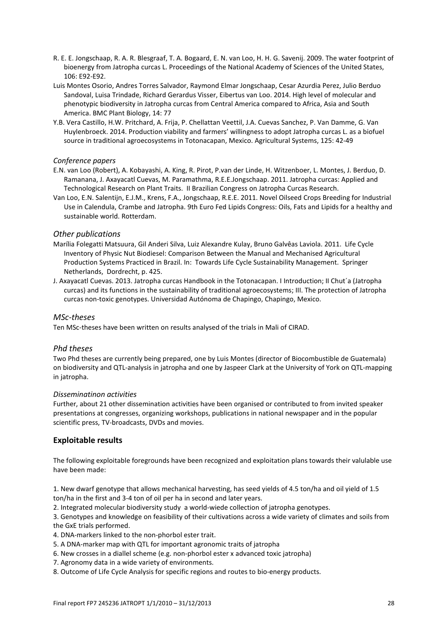- R. E. E. Jongschaap, R. A. R. Blesgraaf, T. A. Bogaard, E. N. van Loo, H. H. G. Savenij. 2009. The water footprint of bioenergy from Jatropha curcas L. Proceedings of the National Academy of Sciences of the United States, 106: E92-E92.
- Luis Montes Osorio, Andres Torres Salvador, Raymond Elmar Jongschaap, Cesar Azurdia Perez, Julio Berduo Sandoval, Luisa Trindade, Richard Gerardus Visser, Eibertus van Loo. 2014. High level of molecular and phenotypic biodiversity in Jatropha curcas from Central America compared to Africa, Asia and South America. BMC Plant Biology, 14: 77
- Y.B. Vera Castillo, H.W. Pritchard, A. Frija, P. Chellattan Veettil, J.A. Cuevas Sanchez, P. Van Damme, G. Van Huylenbroeck. 2014. Production viability and farmers' willingness to adopt Jatropha curcas L. as a biofuel source in traditional agroecosystems in Totonacapan, Mexico. Agricultural Systems, 125: 42-49

#### *Conference papers*

- E.N. van Loo (Robert), A. Kobayashi, A. King, R. Pirot, P.van der Linde, H. Witzenboer, L. Montes, J. Berduo, D. Ramanana, J. Axayacatl Cuevas, M. Paramathma, R.E.E.Jongschaap. 2011. Jatropha curcas: Applied and Technological Research on Plant Traits. II Brazilian Congress on Jatropha Curcas Research.
- Van Loo, E.N. Salentijn, E.J.M., Krens, F.A., Jongschaap, R.E.E. 2011. Novel Oilseed Crops Breeding for Industrial Use in Calendula, Crambe and Jatropha. 9th Euro Fed Lipids Congress: Oils, Fats and Lipids for a healthy and sustainable world. Rotterdam.

#### *Other publications*

- Marília Folegatti Matsuura, Gil Anderi Silva, Luiz Alexandre Kulay, Bruno Galvêas Laviola. 2011. Life Cycle Inventory of Physic Nut Biodiesel: Comparison Between the Manual and Mechanised Agricultural Production Systems Practiced in Brazil. In: Towards Life Cycle Sustainability Management. Springer Netherlands, Dordrecht, p. 425.
- J. Axayacatl Cuevas. 2013. Jatropha curcas Handbook in the Totonacapan. I Introduction; II Chut´a (Jatropha curcas) and its functions in the sustainability of traditional agroecosystems; III. The protection of Jatropha curcas non-toxic genotypes. Universidad Autónoma de Chapingo, Chapingo, Mexico.

#### *MSc-theses*

Ten MSc-theses have been written on results analysed of the trials in Mali of CIRAD.

# *Phd theses*

Two Phd theses are currently being prepared, one by Luis Montes (director of Biocombustible de Guatemala) on biodiversity and QTL-analysis in jatropha and one by Jaspeer Clark at the University of York on QTL-mapping in jatropha.

#### *Disseminatinon activities*

Further, about 21 other dissemination activities have been organised or contributed to from invited speaker presentations at congresses, organizing workshops, publications in national newspaper and in the popular scientific press, TV-broadcasts, DVDs and movies.

# **Exploitable results**

The following exploitable foregrounds have been recognized and exploitation plans towards their valulable use have been made:

1. New dwarf genotype that allows mechanical harvesting, has seed yields of 4.5 ton/ha and oil yield of 1.5 ton/ha in the first and 3-4 ton of oil per ha in second and later years.

2. Integrated molecular biodiversity study a world-wiede collection of jatropha genotypes.

3. Genotypes and knowledge on feasibility of their cultivations across a wide variety of climates and soils from the GxE trials performed.

4. DNA-markers linked to the non-phorbol ester trait.

- 5. A DNA-marker map with QTL for important agronomic traits of jatropha
- 6. New crosses in a diallel scheme (e.g. non-phorbol ester x advanced toxic jatropha)
- 7. Agronomy data in a wide variety of environments.

8. Outcome of Life Cycle Analysis for specific regions and routes to bio-energy products.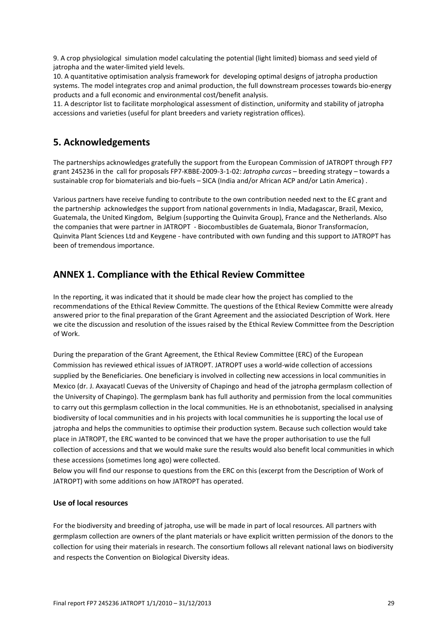9. A crop physiological simulation model calculating the potential (light limited) biomass and seed yield of jatropha and the water-limited yield levels.

10. A quantitative optimisation analysis framework for developing optimal designs of jatropha production systems. The model integrates crop and animal production, the full downstream processes towards bio-energy products and a full economic and environmental cost/benefit analysis.

<span id="page-28-0"></span>11. A descriptor list to facilitate morphological assessment of distinction, uniformity and stability of jatropha accessions and varieties (useful for plant breeders and variety registration offices).

# **5. Acknowledgements**

The partnerships acknowledges gratefully the support from the European Commission of JATROPT through FP7 grant 245236 in the call for proposals FP7-KBBE-2009-3-1-02: *Jatropha curcas* – breeding strategy – towards a sustainable crop for biomaterials and bio-fuels – SICA (India and/or African ACP and/or Latin America) .

Various partners have receive funding to contribute to the own contribution needed next to the EC grant and the partnership acknowledges the support from national governments in India, Madagascar, Brazil, Mexico, Guatemala, the United Kingdom, Belgium (supporting the Quinvita Group), France and the Netherlands. Also the companies that were partner in JATROPT - Biocombustibles de Guatemala, Bionor Transformacíon, Quinvita Plant Sciences Ltd and Keygene - have contributed with own funding and this support to JATROPT has been of tremendous importance.

# <span id="page-28-1"></span>**ANNEX 1. Compliance with the Ethical Review Committee**

In the reporting, it was indicated that it should be made clear how the project has complied to the recommendations of the Ethical Review Committe. The questions of the Ethical Review Committe were already answered prior to the final preparation of the Grant Agreement and the assiociated Description of Work. Here we cite the discussion and resolution of the issues raised by the Ethical Review Committee from the Description of Work.

During the preparation of the Grant Agreement, the Ethical Review Committee (ERC) of the European Commission has reviewed ethical issues of JATROPT. JATROPT uses a world-wide collection of accessions supplied by the Beneficiaries. One beneficiary is involved in collecting new accessions in local communities in Mexico (dr. J. Axayacatl Cuevas of the University of Chapingo and head of the jatropha germplasm collection of the University of Chapingo). The germplasm bank has full authority and permission from the local communities to carry out this germplasm collection in the local communities. He is an ethnobotanist, specialised in analysing biodiversity of local communities and in his projects with local communities he is supporting the local use of jatropha and helps the communities to optimise their production system. Because such collection would take place in JATROPT, the ERC wanted to be convinced that we have the proper authorisation to use the full collection of accessions and that we would make sure the results would also benefit local communities in which these accessions (sometimes long ago) were collected.

Below you will find our response to questions from the ERC on this (excerpt from the Description of Work of JATROPT) with some additions on how JATROPT has operated.

# **Use of local resources**

For the biodiversity and breeding of jatropha, use will be made in part of local resources. All partners with germplasm collection are owners of the plant materials or have explicit written permission of the donors to the collection for using their materials in research. The consortium follows all relevant national laws on biodiversity and respects the Convention on Biological Diversity ideas.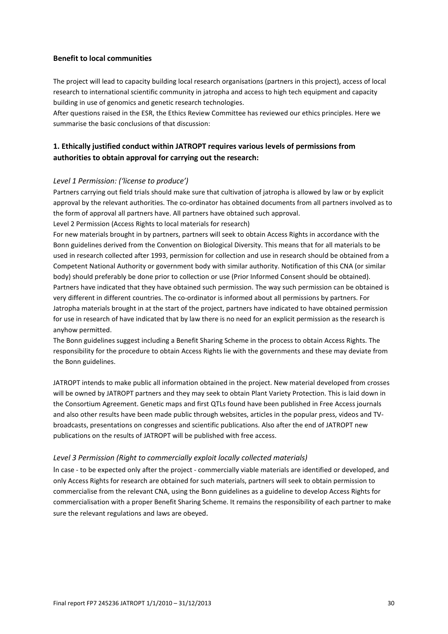### **Benefit to local communities**

The project will lead to capacity building local research organisations (partners in this project), access of local research to international scientific community in jatropha and access to high tech equipment and capacity building in use of genomics and genetic research technologies.

After questions raised in the ESR, the Ethics Review Committee has reviewed our ethics principles. Here we summarise the basic conclusions of that discussion:

# **1. Ethically justified conduct within JATROPT requires various levels of permissions from authorities to obtain approval for carrying out the research:**

#### *Level 1 Permission: ('license to produce')*

Partners carrying out field trials should make sure that cultivation of jatropha is allowed by law or by explicit approval by the relevant authorities. The co-ordinator has obtained documents from all partners involved as to the form of approval all partners have. All partners have obtained such approval.

Level 2 Permission (Access Rights to local materials for research)

For new materials brought in by partners, partners will seek to obtain Access Rights in accordance with the Bonn guidelines derived from the Convention on Biological Diversity. This means that for all materials to be used in research collected after 1993, permission for collection and use in research should be obtained from a Competent National Authority or government body with similar authority. Notification of this CNA (or similar body) should preferably be done prior to collection or use (Prior Informed Consent should be obtained). Partners have indicated that they have obtained such permission. The way such permission can be obtained is very different in different countries. The co-ordinator is informed about all permissions by partners. For Jatropha materials brought in at the start of the project, partners have indicated to have obtained permission for use in research of have indicated that by law there is no need for an explicit permission as the research is anyhow permitted.

The Bonn guidelines suggest including a Benefit Sharing Scheme in the process to obtain Access Rights. The responsibility for the procedure to obtain Access Rights lie with the governments and these may deviate from the Bonn guidelines.

JATROPT intends to make public all information obtained in the project. New material developed from crosses will be owned by JATROPT partners and they may seek to obtain Plant Variety Protection. This is laid down in the Consortium Agreement. Genetic maps and first QTLs found have been published in Free Access journals and also other results have been made public through websites, articles in the popular press, videos and TVbroadcasts, presentations on congresses and scientific publications. Also after the end of JATROPT new publications on the results of JATROPT will be published with free access.

#### *Level 3 Permission (Right to commercially exploit locally collected materials)*

In case - to be expected only after the project - commercially viable materials are identified or developed, and only Access Rights for research are obtained for such materials, partners will seek to obtain permission to commercialise from the relevant CNA, using the Bonn guidelines as a guideline to develop Access Rights for commercialisation with a proper Benefit Sharing Scheme. It remains the responsibility of each partner to make sure the relevant regulations and laws are obeyed.